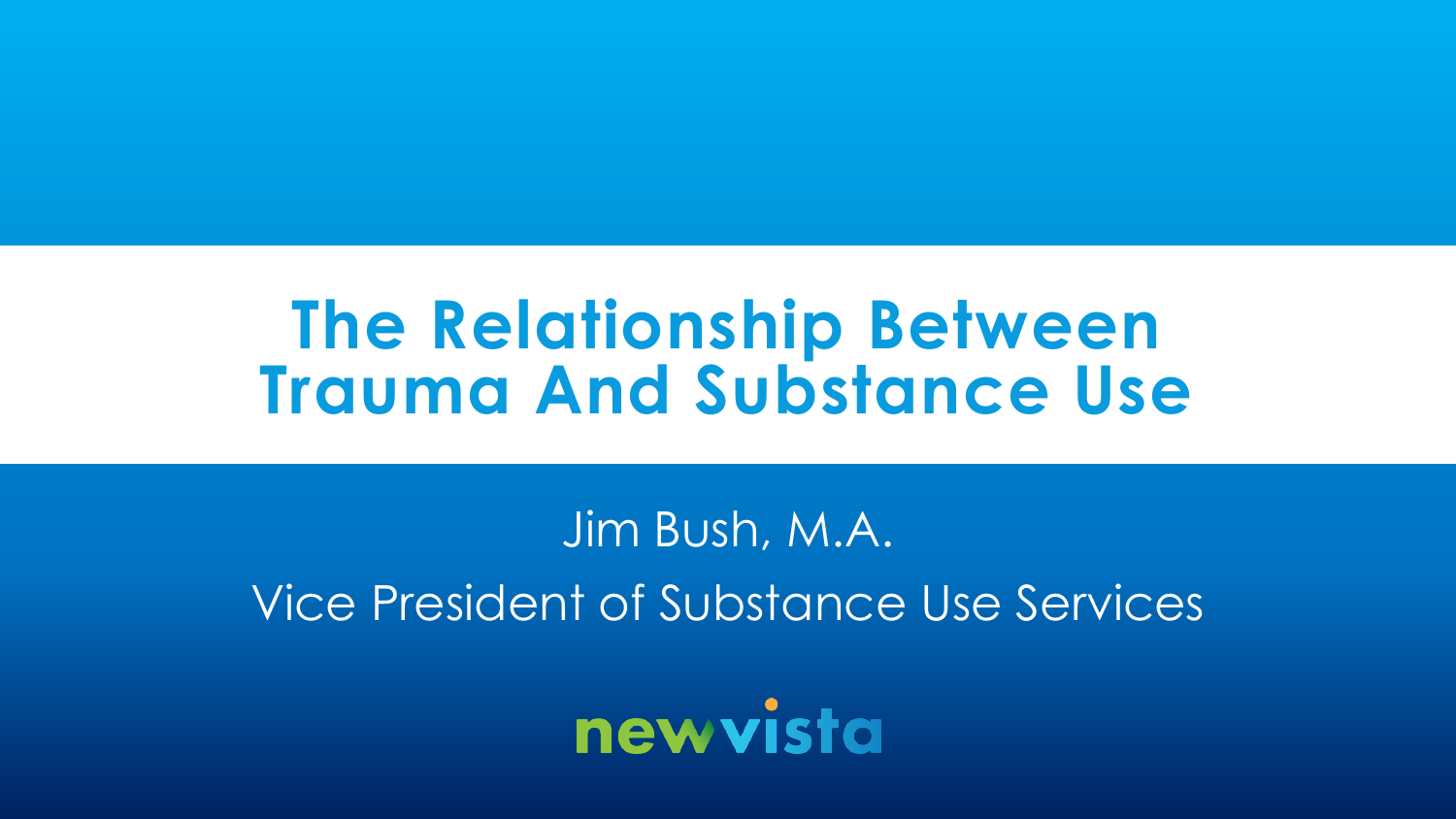# **The Relationship Between Trauma And Substance Use**

# Jim Bush, M.A. Vice President of Substance Use Services

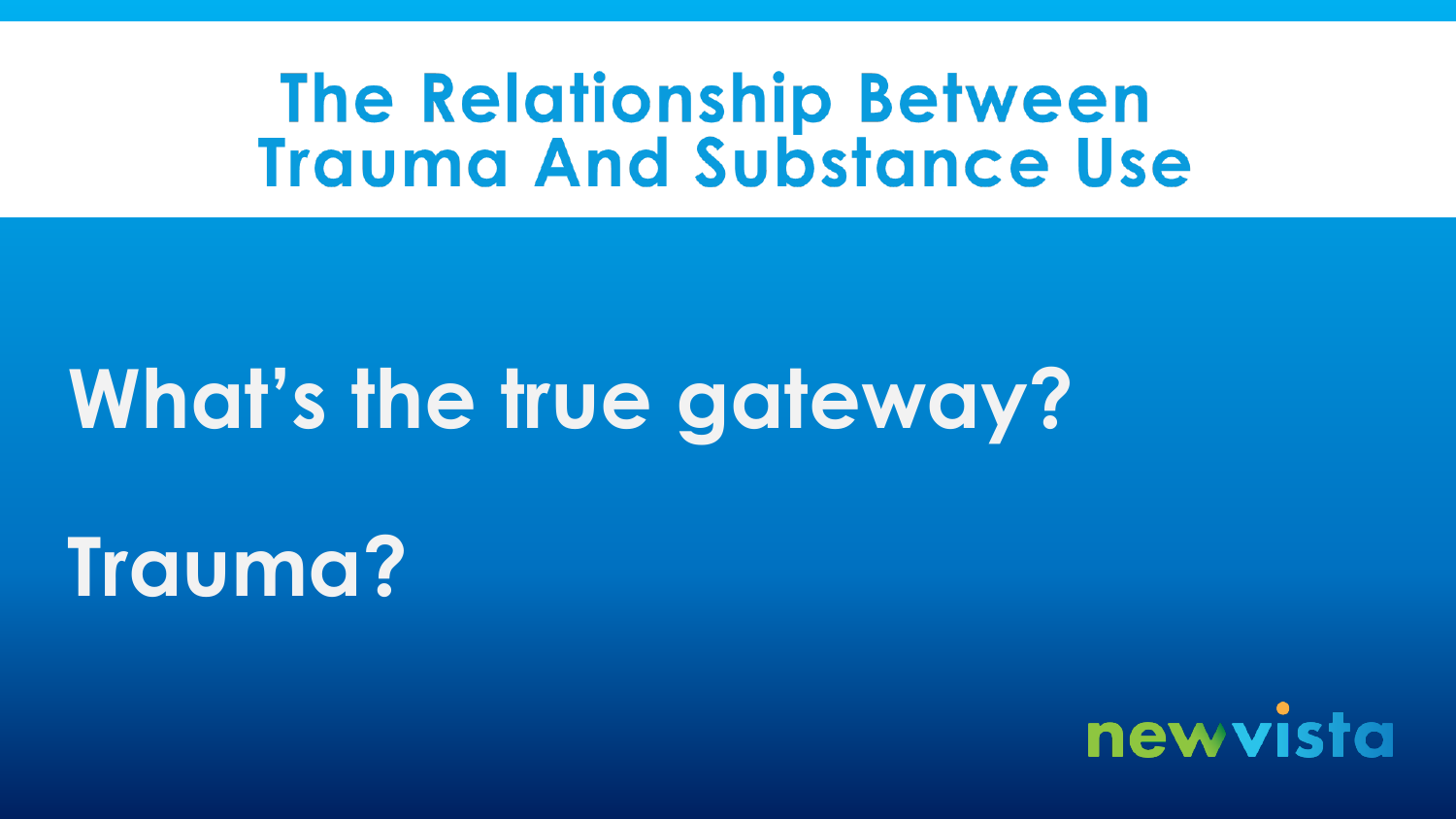# **The Relationship Between Trauma And Substance Use**

# **What's the true gateway?**

**Trauma?**

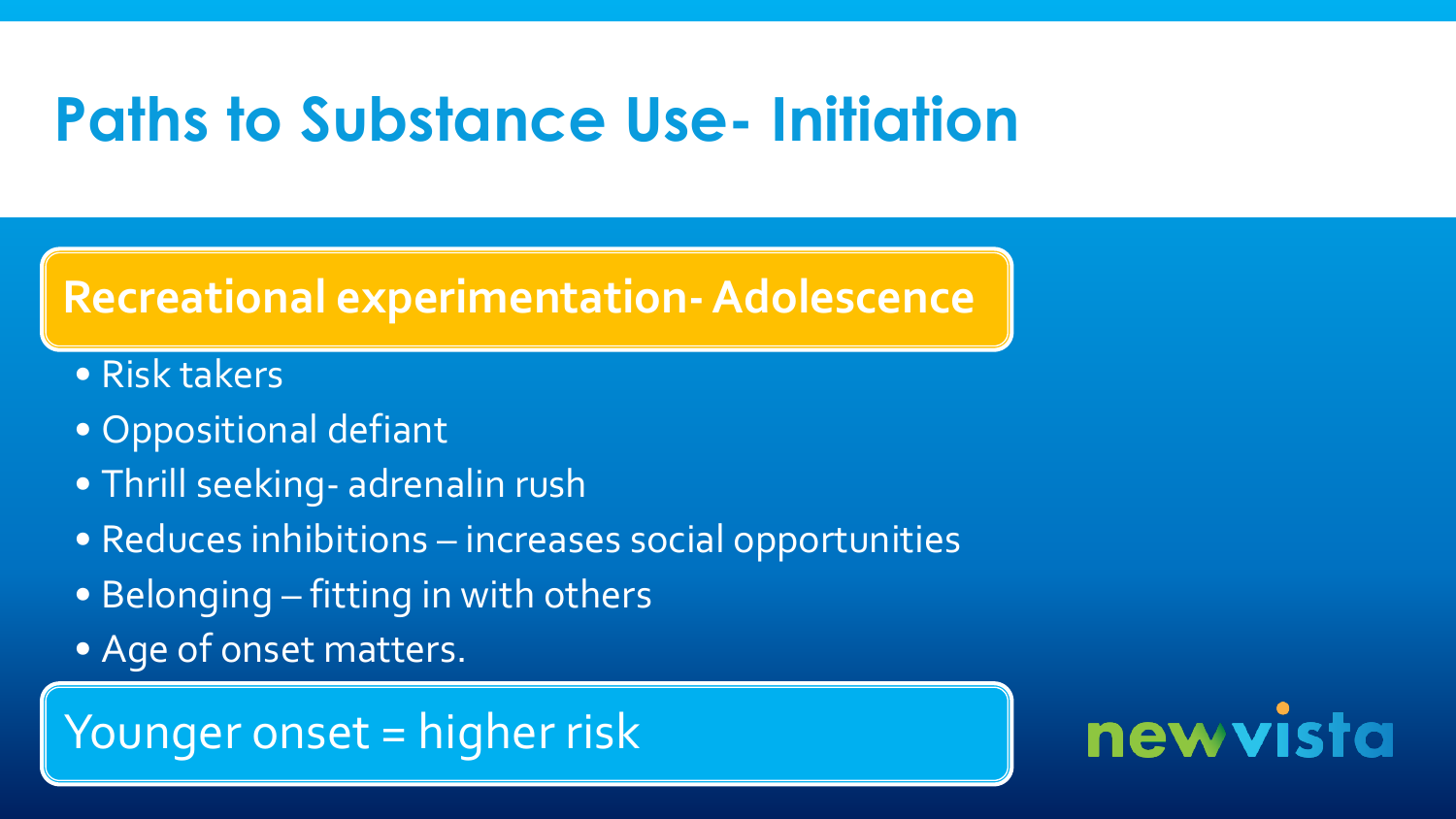# **Paths to Substance Use- Initiation**

#### **Recreational experimentation-Adolescence**

- Risk takers
- Oppositional defiant
- Thrill seeking- adrenalin rush
- Reduces inhibitions increases social opportunities
- Belonging fitting in with others
- Age of onset matters.

### Younger onset = higher risk

# newvista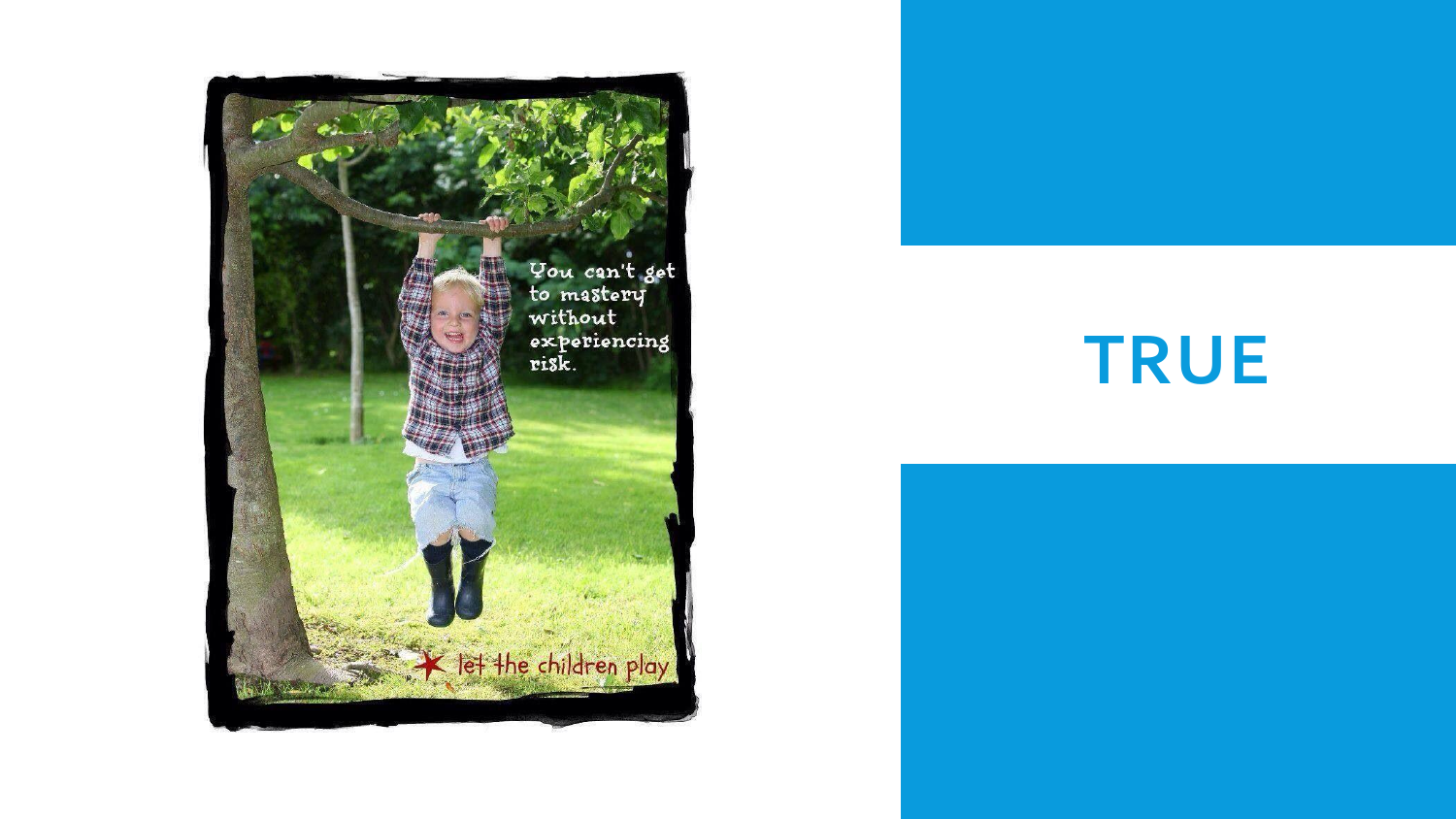

# **TRUE**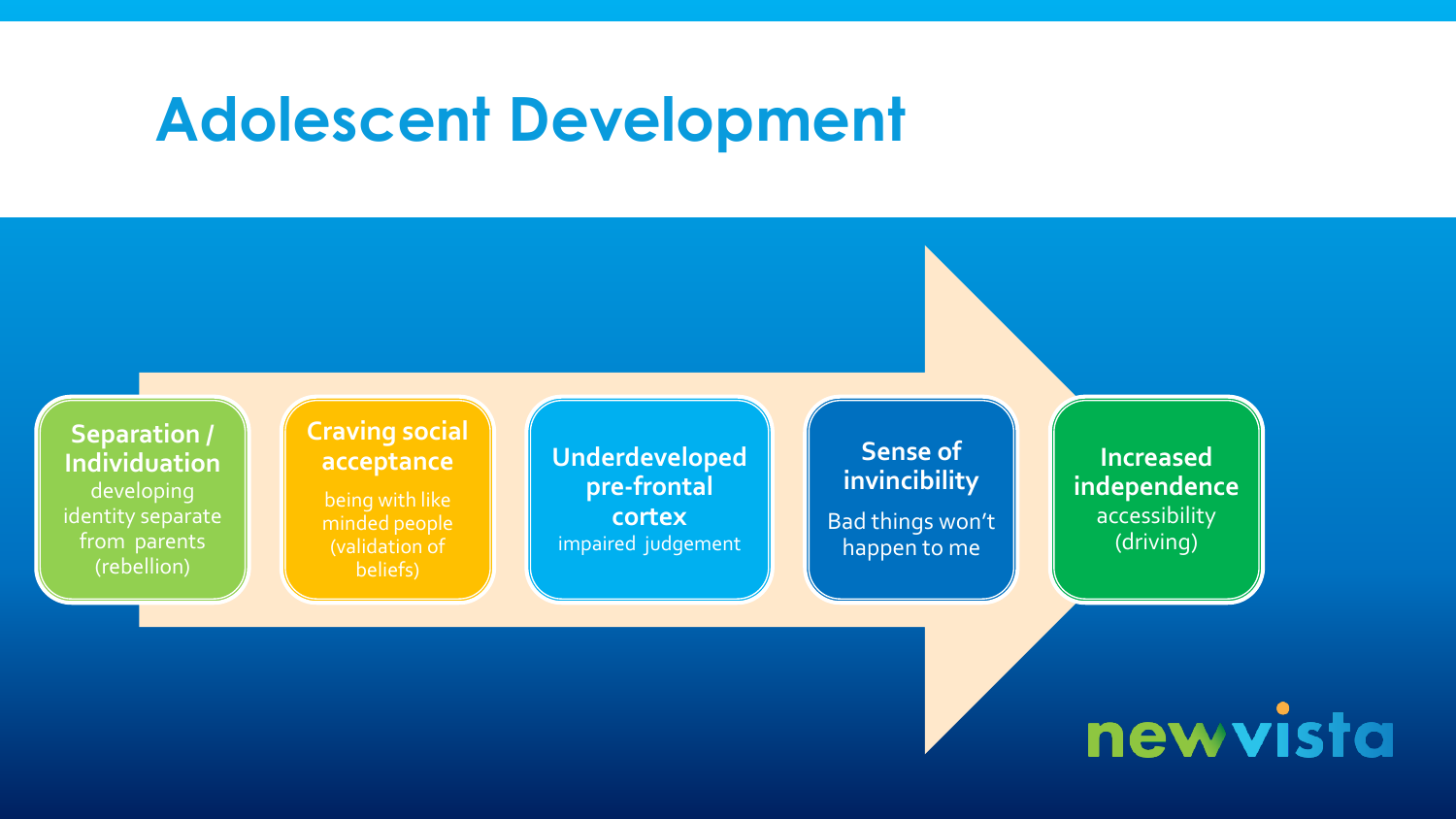### **Adolescent Development**



newvista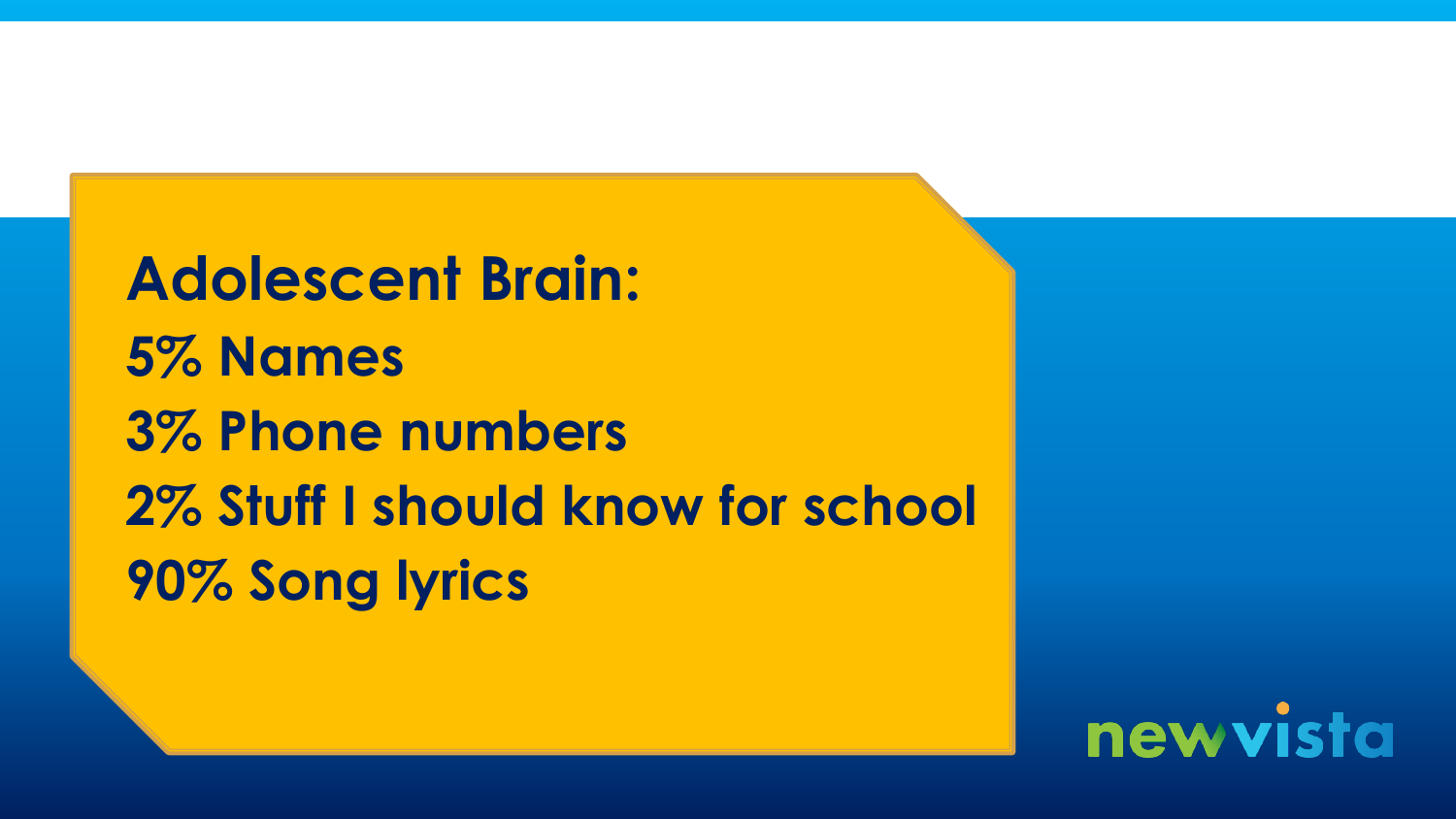**Adolescent Brain: 5% Names 3% Phone numbers 2% Stuff I should know for school 90% Song lyrics**

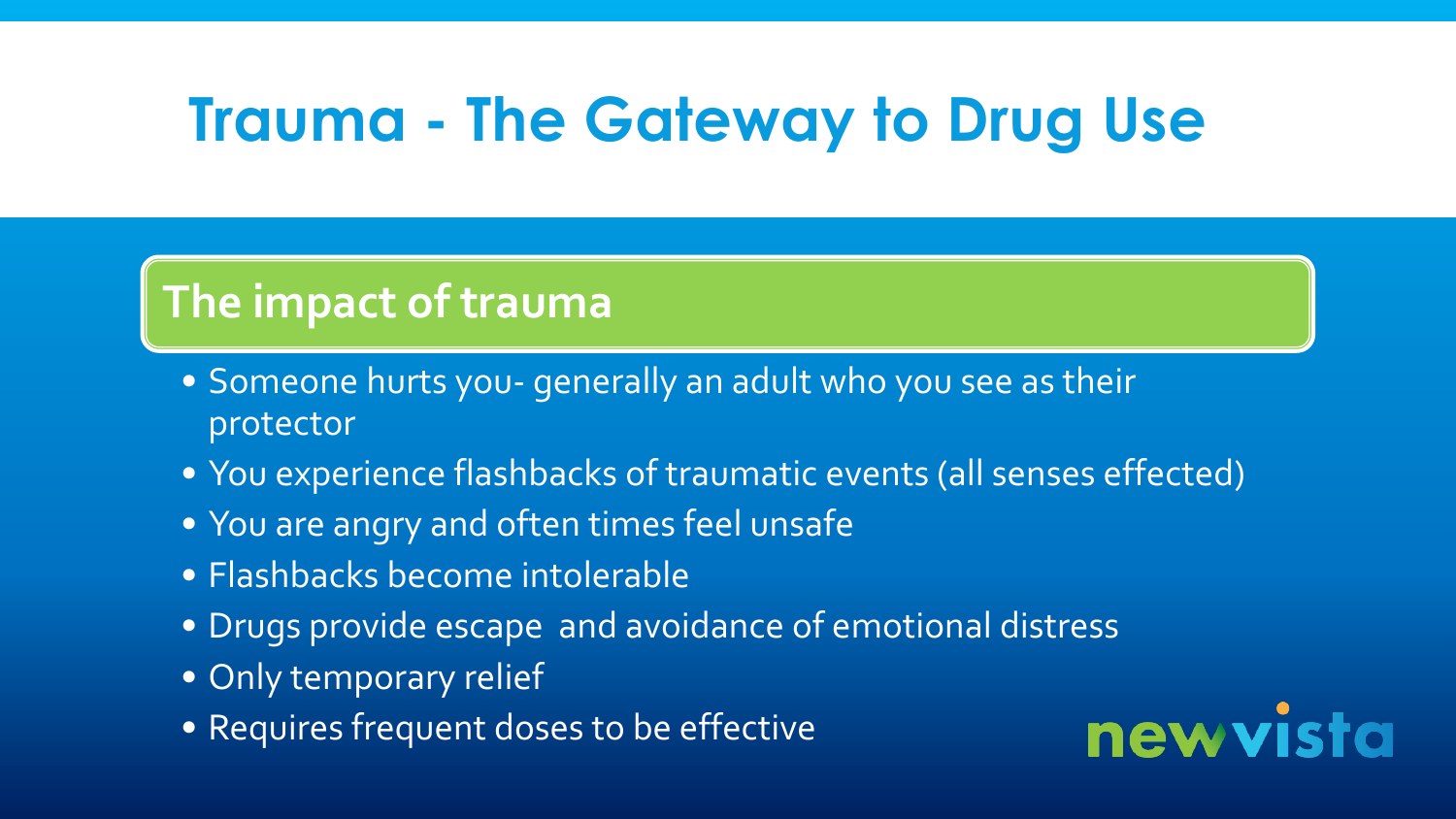# **Trauma - The Gateway to Drug Use**

### **The impact of trauma**

- Someone hurts you- generally an adult who you see as their protector
- You experience flashbacks of traumatic events (all senses effected)
- You are angry and often times feel unsafe
- Flashbacks become intolerable
- Drugs provide escape and avoidance of emotional distress
- Only temporary relief
- Requires frequent doses to be effective

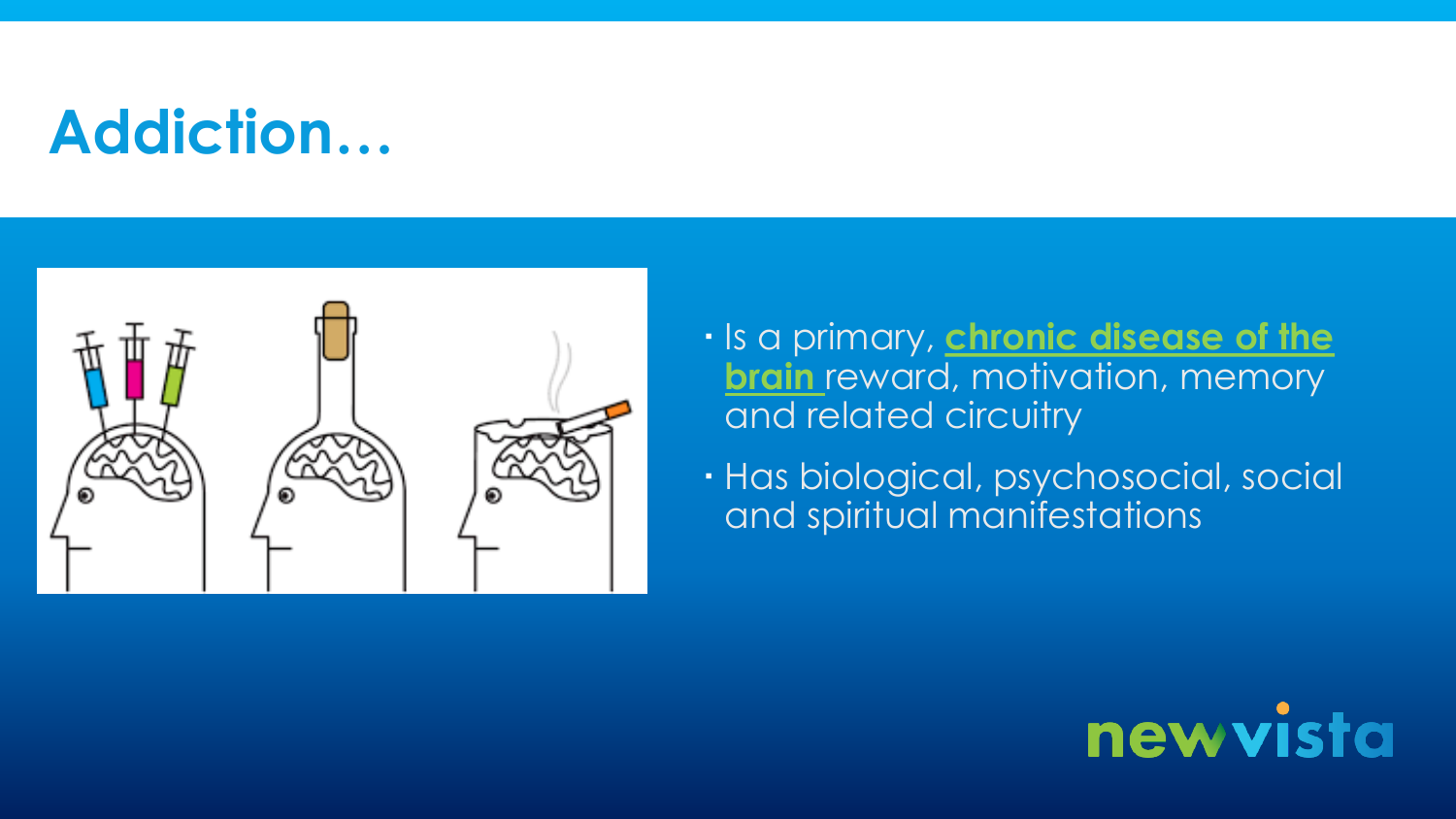# **Addiction…**



- $\cdot$  Is a primary, *chronic disease of the* **brain** reward, motivation, memory and related circuitry
- Has biological, psychosocial, social and spiritual manifestations

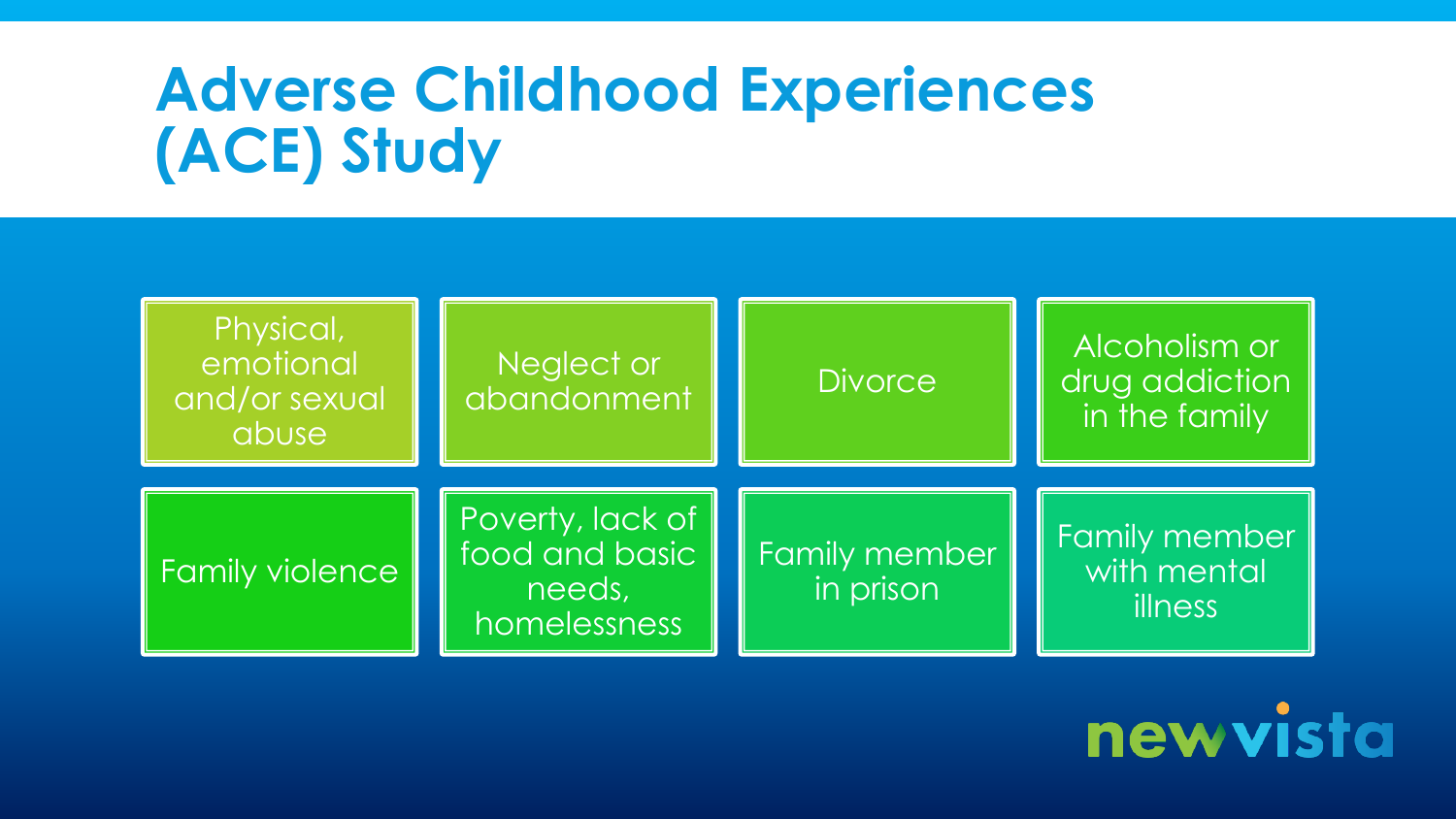# **Adverse Childhood Experiences (ACE) Study**



newvista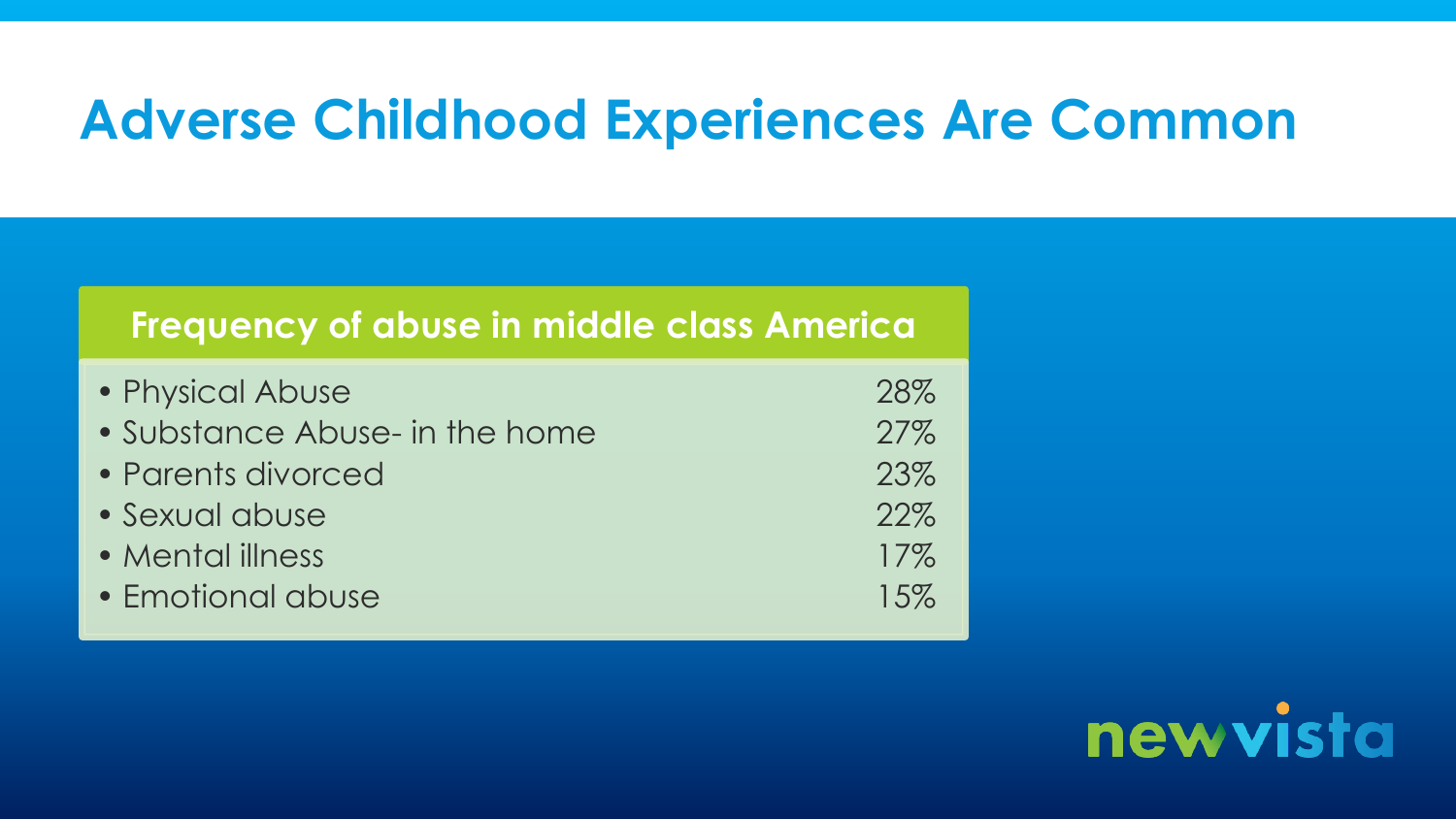### **Adverse Childhood Experiences Are Common**

#### **Frequency of abuse in middle class America**

| • Physical Abuse               | 28%    |
|--------------------------------|--------|
| • Substance Abuse- in the home | 27%    |
| • Parents divorced             | 23%    |
| · Sexual abuse                 | 22%    |
| • Mental illness               | $17\%$ |
| • Emotional abuse              | 15%    |

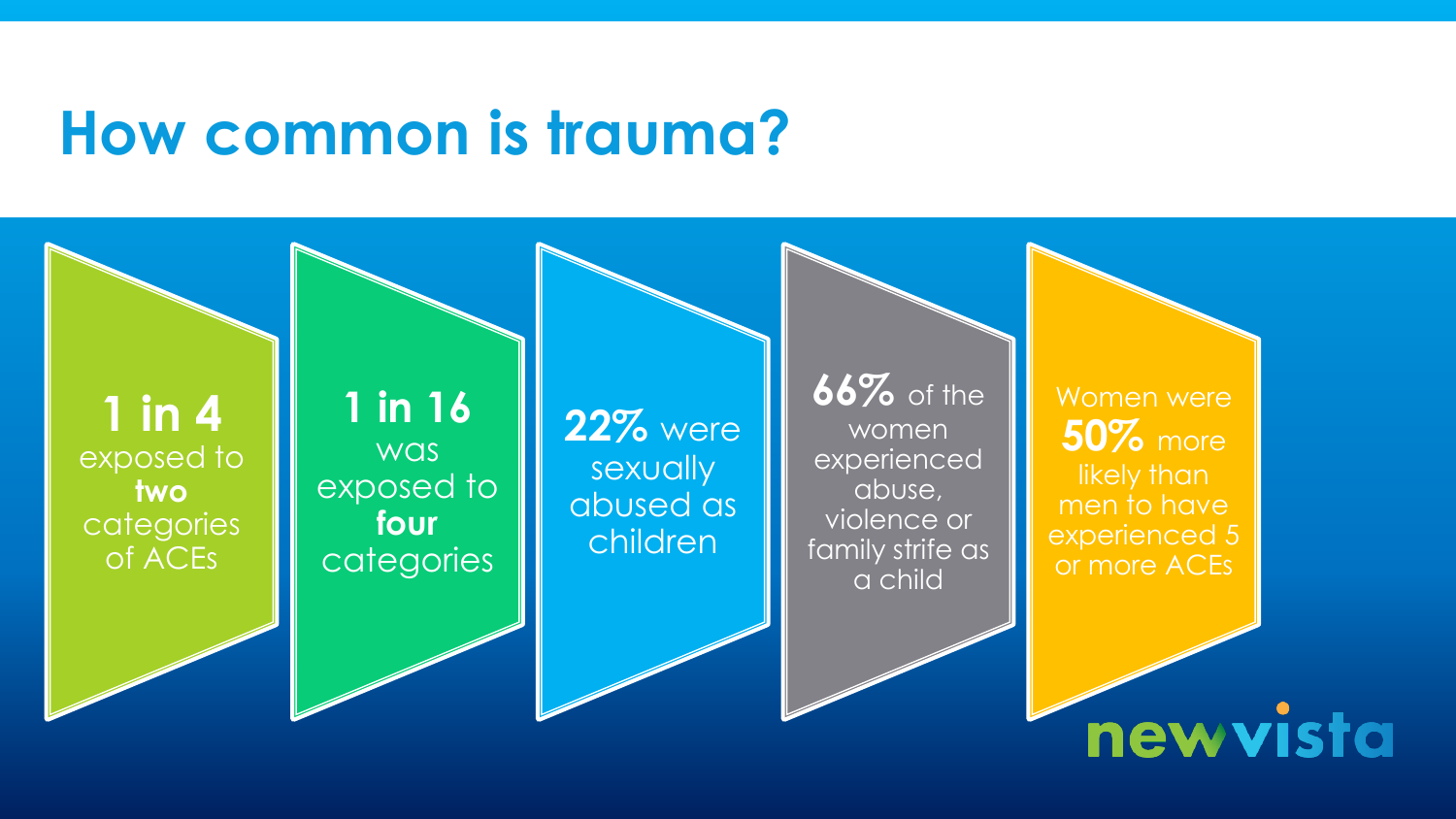### **How common is trauma?**

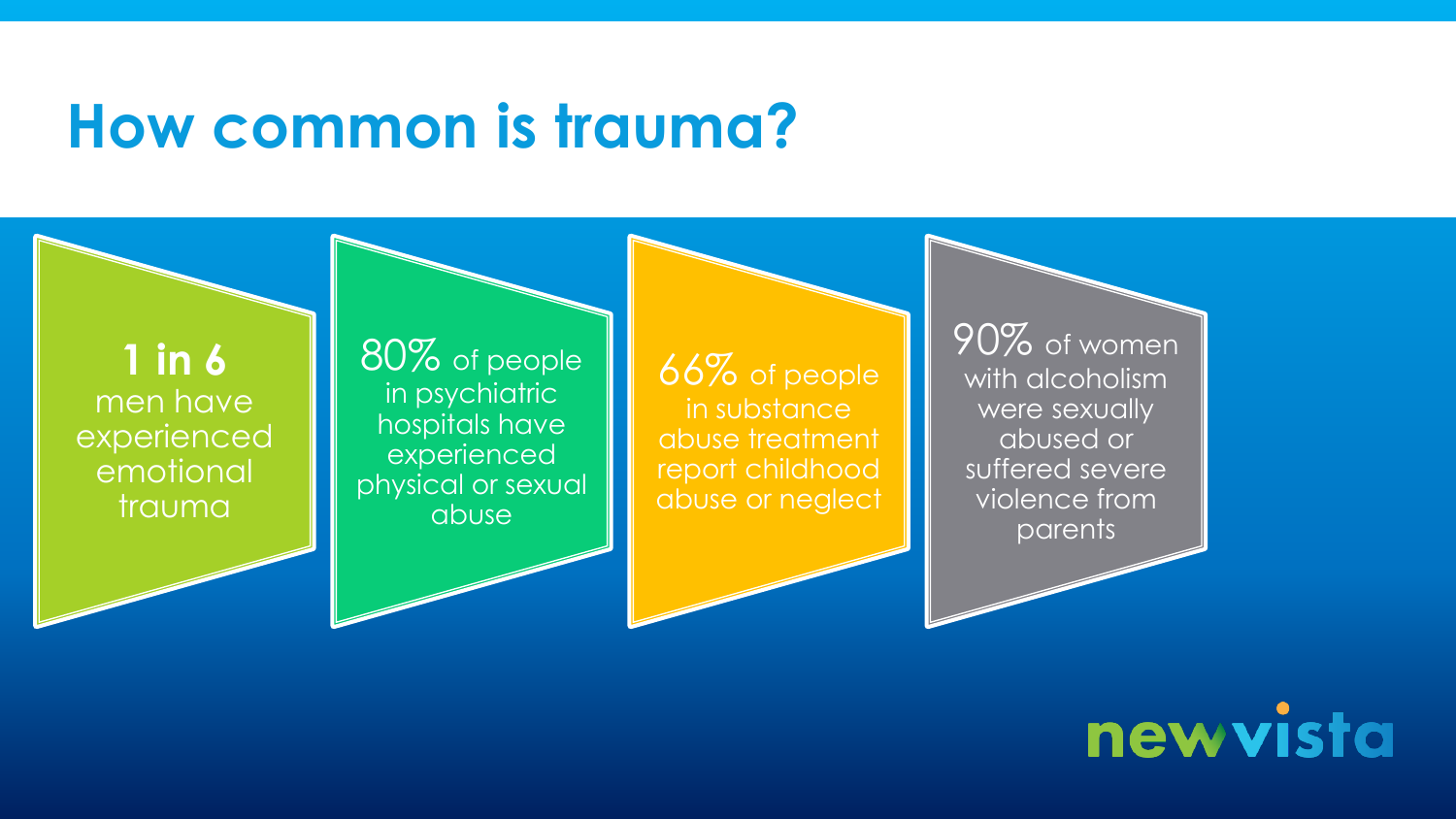### **How common is trauma?**

**1 in 6**  men have experienced emotional trauma

80% of people in psychiatric hospitals have experienced physical or sexual abuse

66% of people in substance abuse treatment report childhood abuse or neglect

90% of women with alcoholism were sexually abused or suffered severe violence from parents

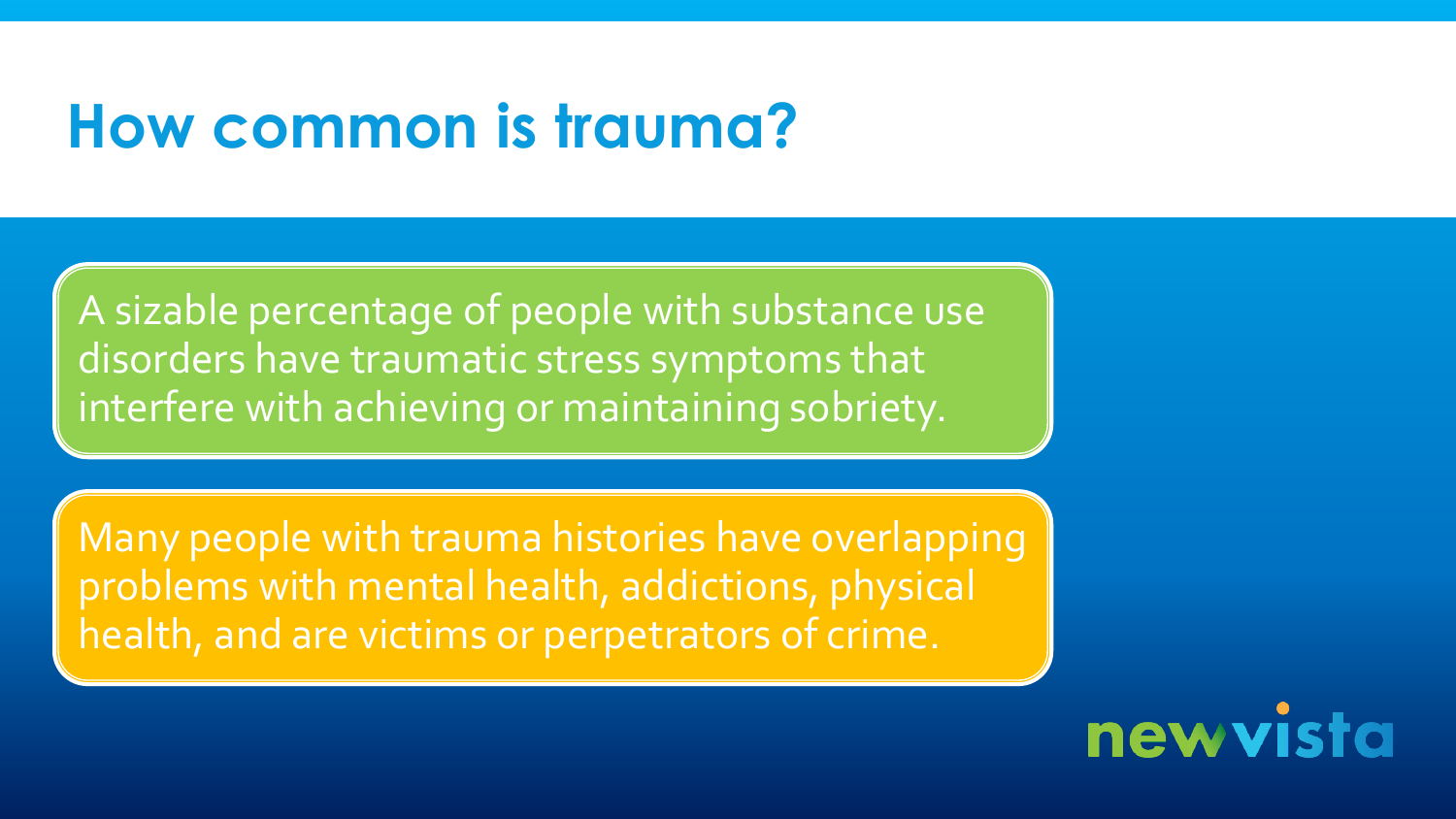# **How common is trauma?**

A sizable percentage of people with substance use disorders have traumatic stress symptoms that interfere with achieving or maintaining sobriety.

Many people with trauma histories have overlapping problems with mental health, addictions, physical health, and are victims or perpetrators of crime.

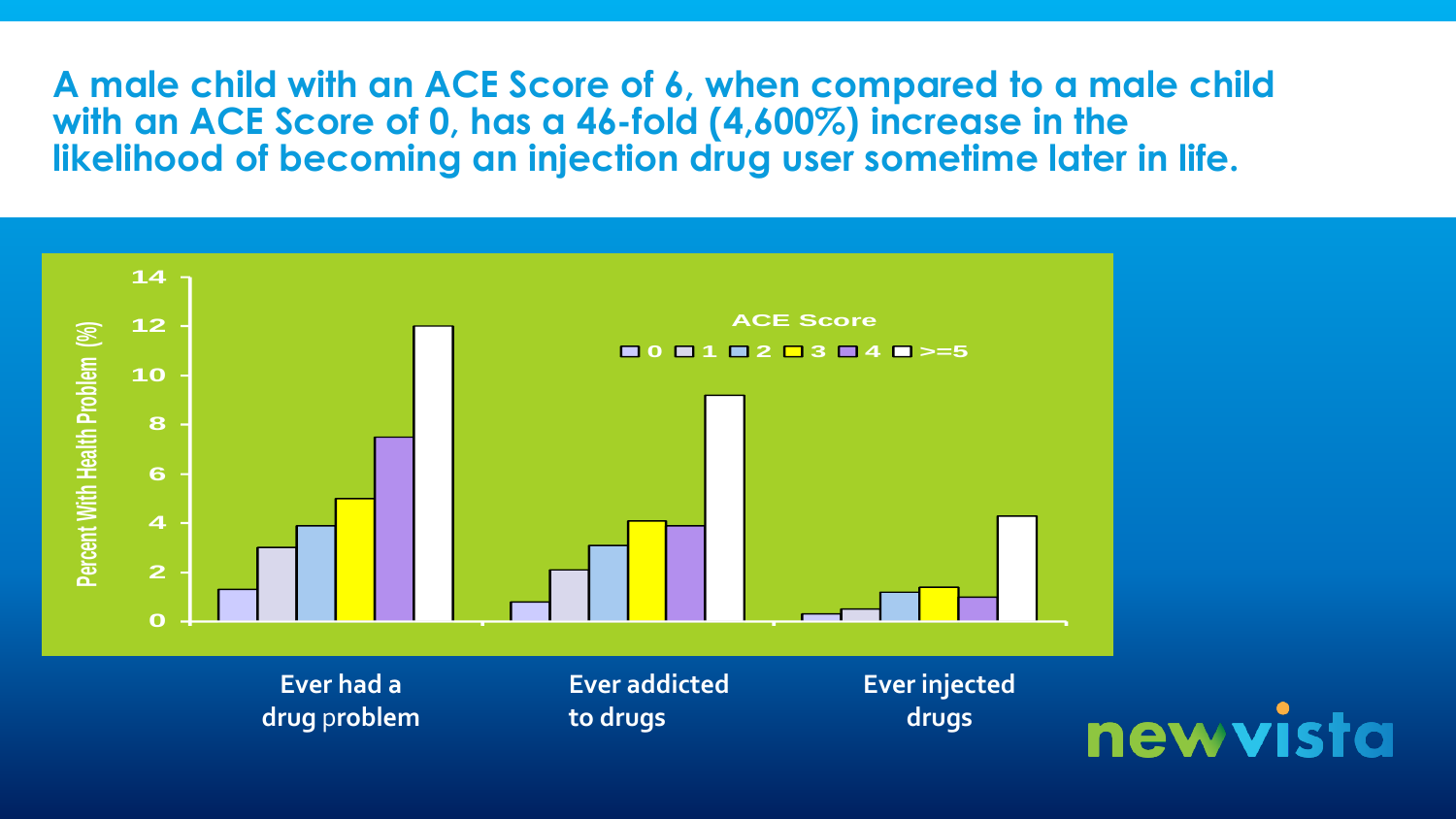**A male child with an ACE Score of 6, when compared to a male child with an ACE Score of 0, has a 46-fold (4,600%) increase in the likelihood of becoming an injection drug user sometime later in life.** 

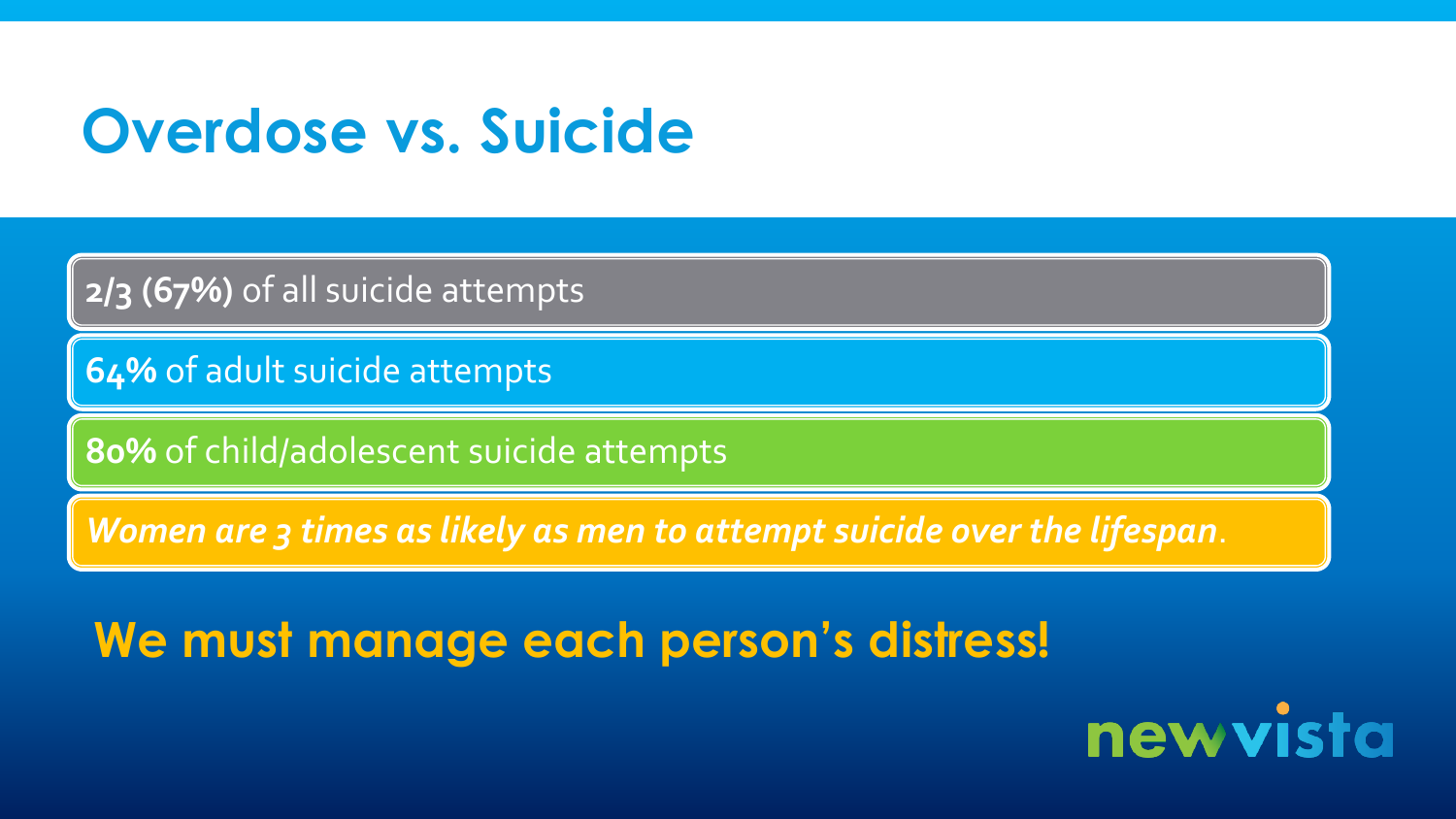# **Overdose vs. Suicide**

**2/3 (67%)** of all suicide attempts

**64%** of adult suicide attempts

**80%** of child/adolescent suicide attempts

*Women are 3 times as likely as men to attempt suicide over the lifespan*.

**We must manage each person's distress!**

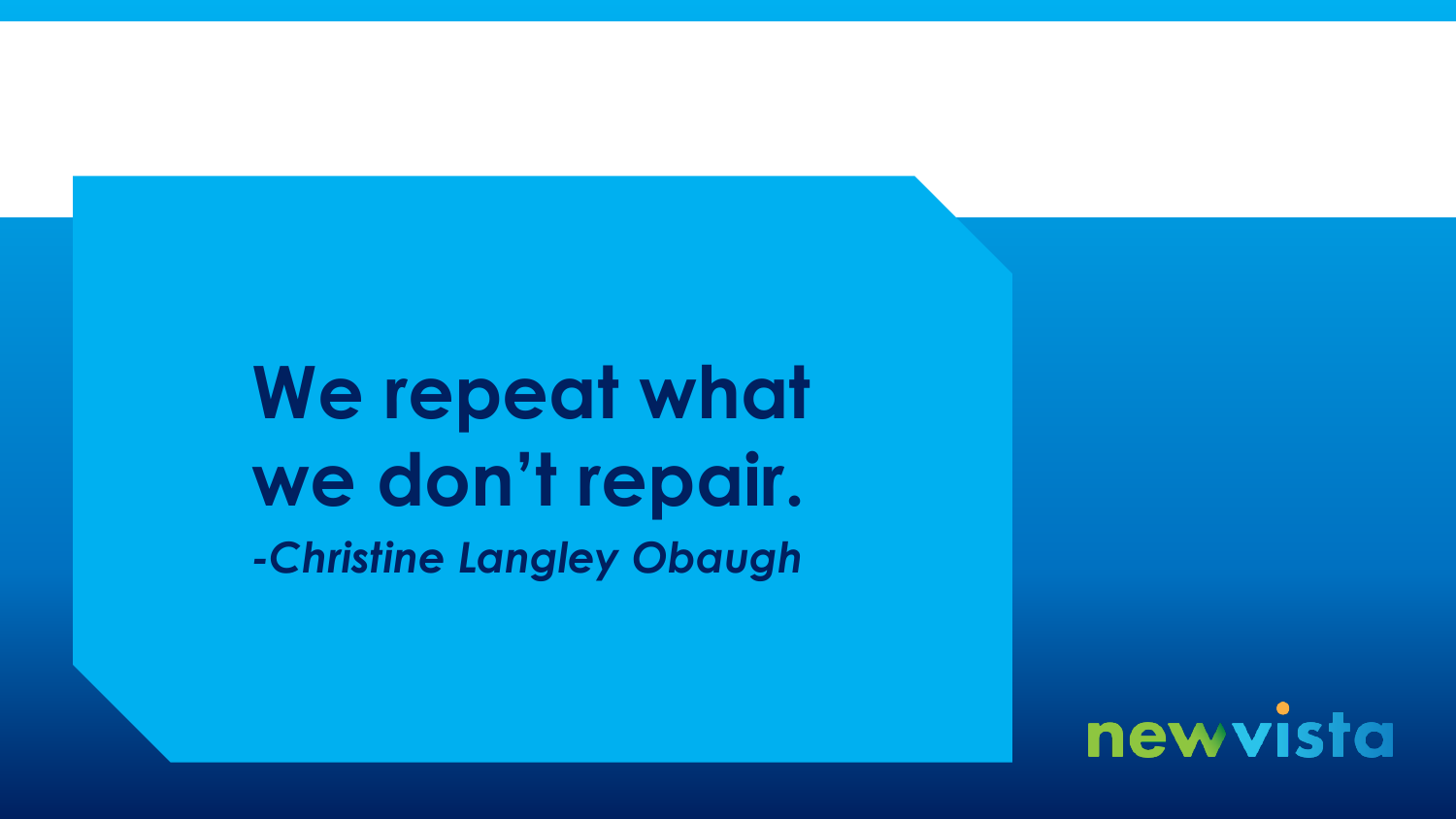# We repeat what **we don't repair.** *-Christine Langley Obaugh*

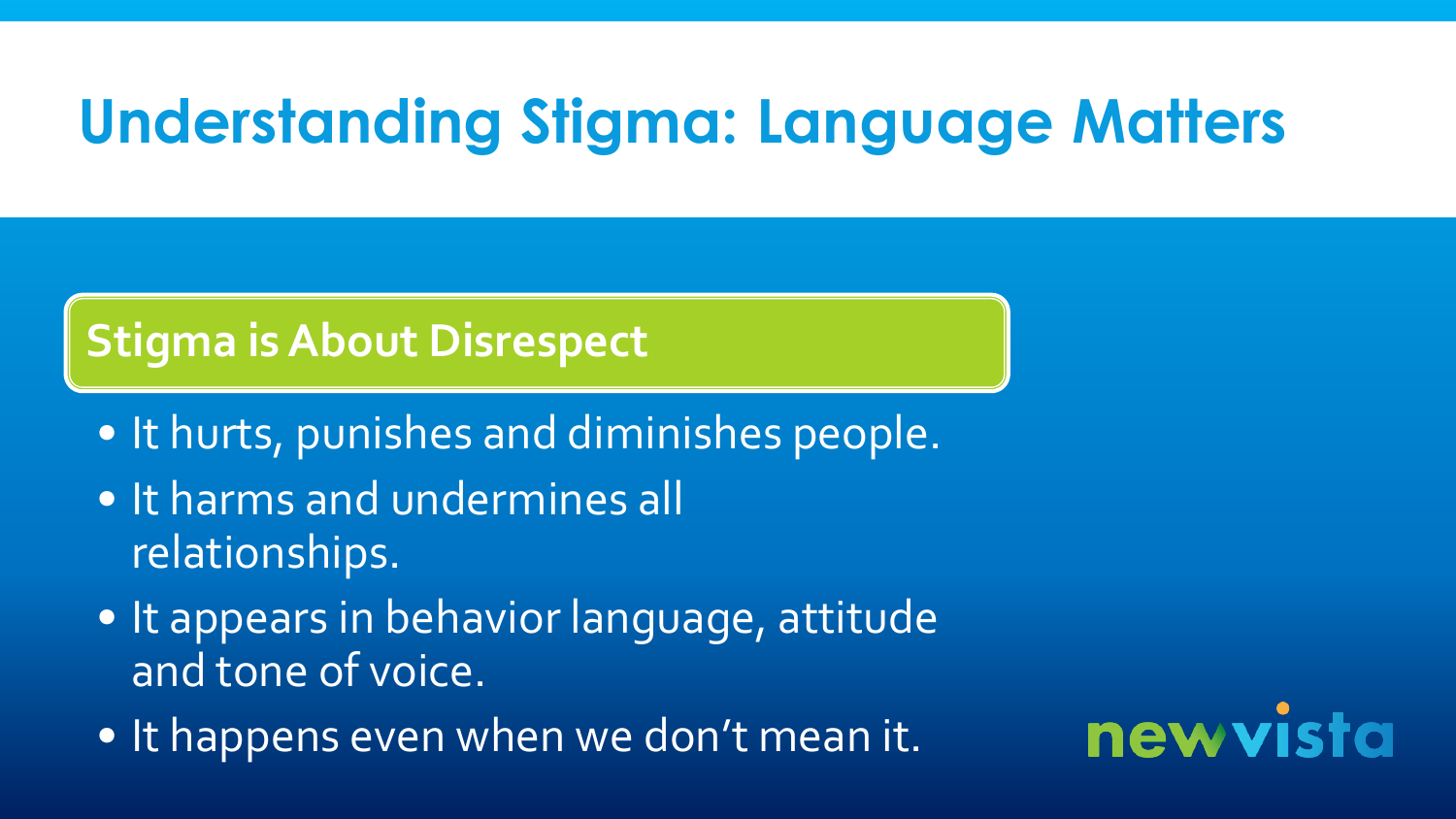# **Understanding Stigma: Language Matters**

### **Stigma is About Disrespect**

- It hurts, punishes and diminishes people.
- It harms and undermines all relationships.
- It appears in behavior language, attitude and tone of voice.
- It happens even when we don't mean it.

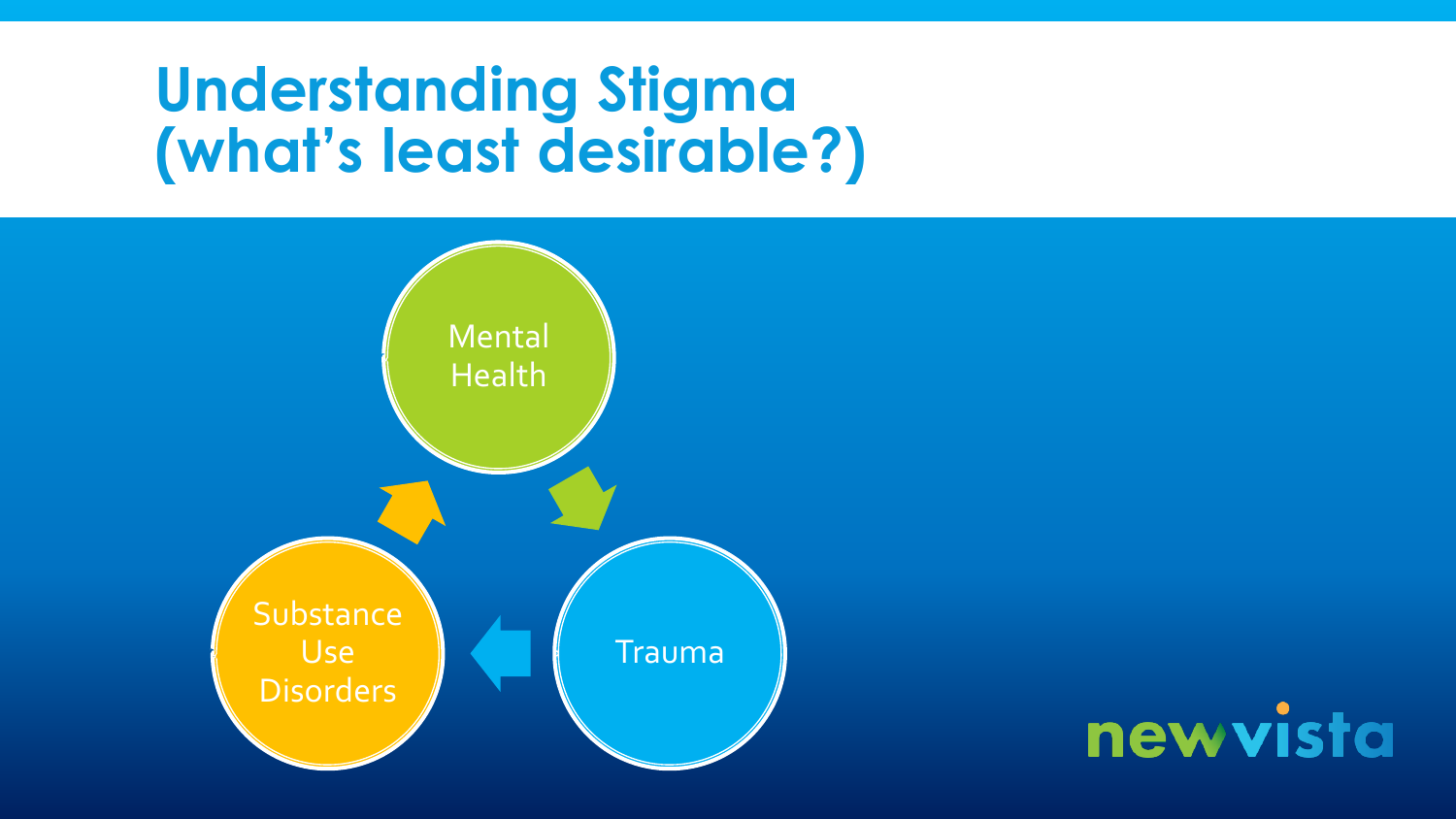# **Understanding Stigma (what's least desirable?)**



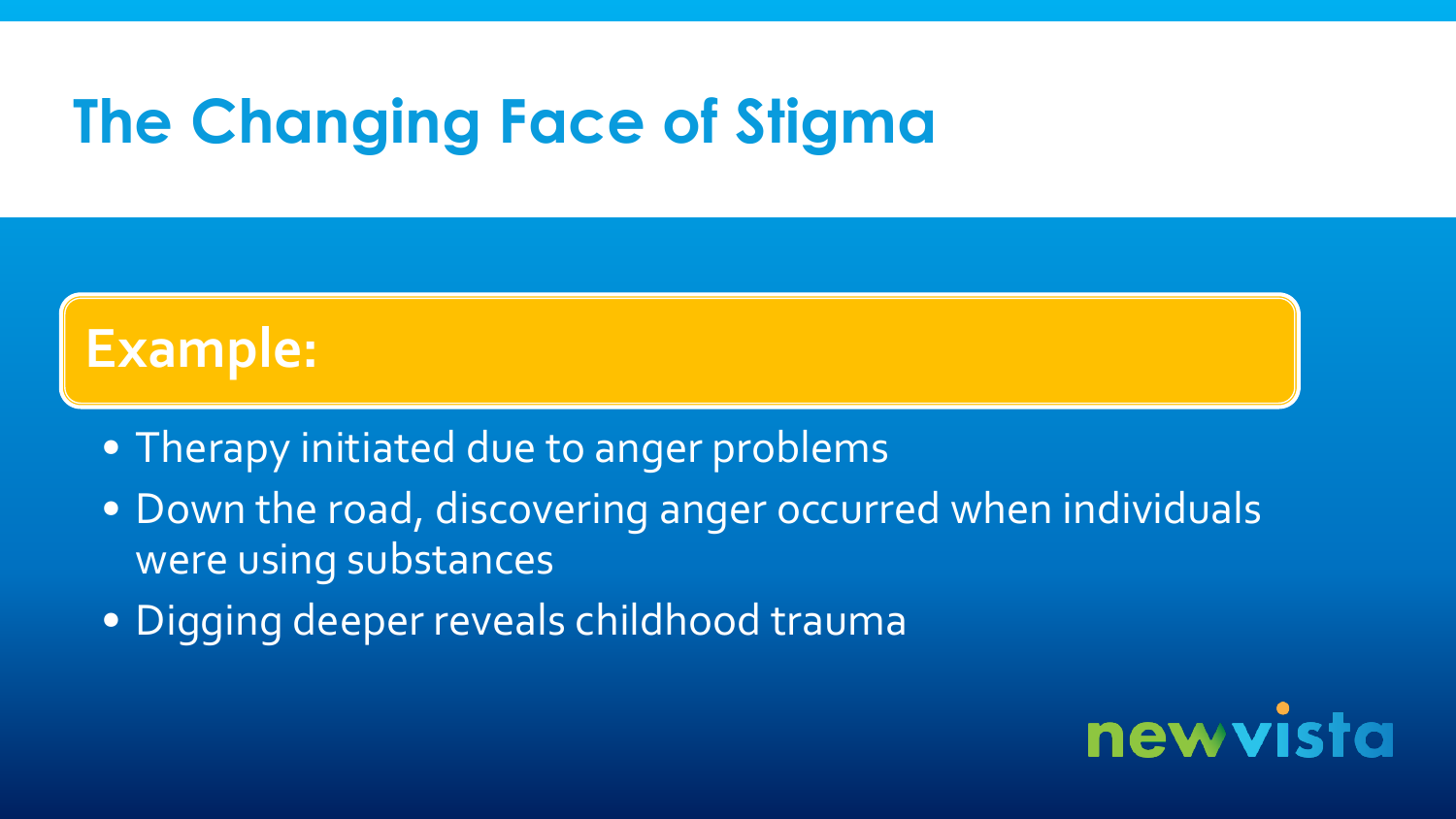# **The Changing Face of Stigma**

### **Example:**

- Therapy initiated due to anger problems
- Down the road, discovering anger occurred when individuals were using substances
- Digging deeper reveals childhood trauma

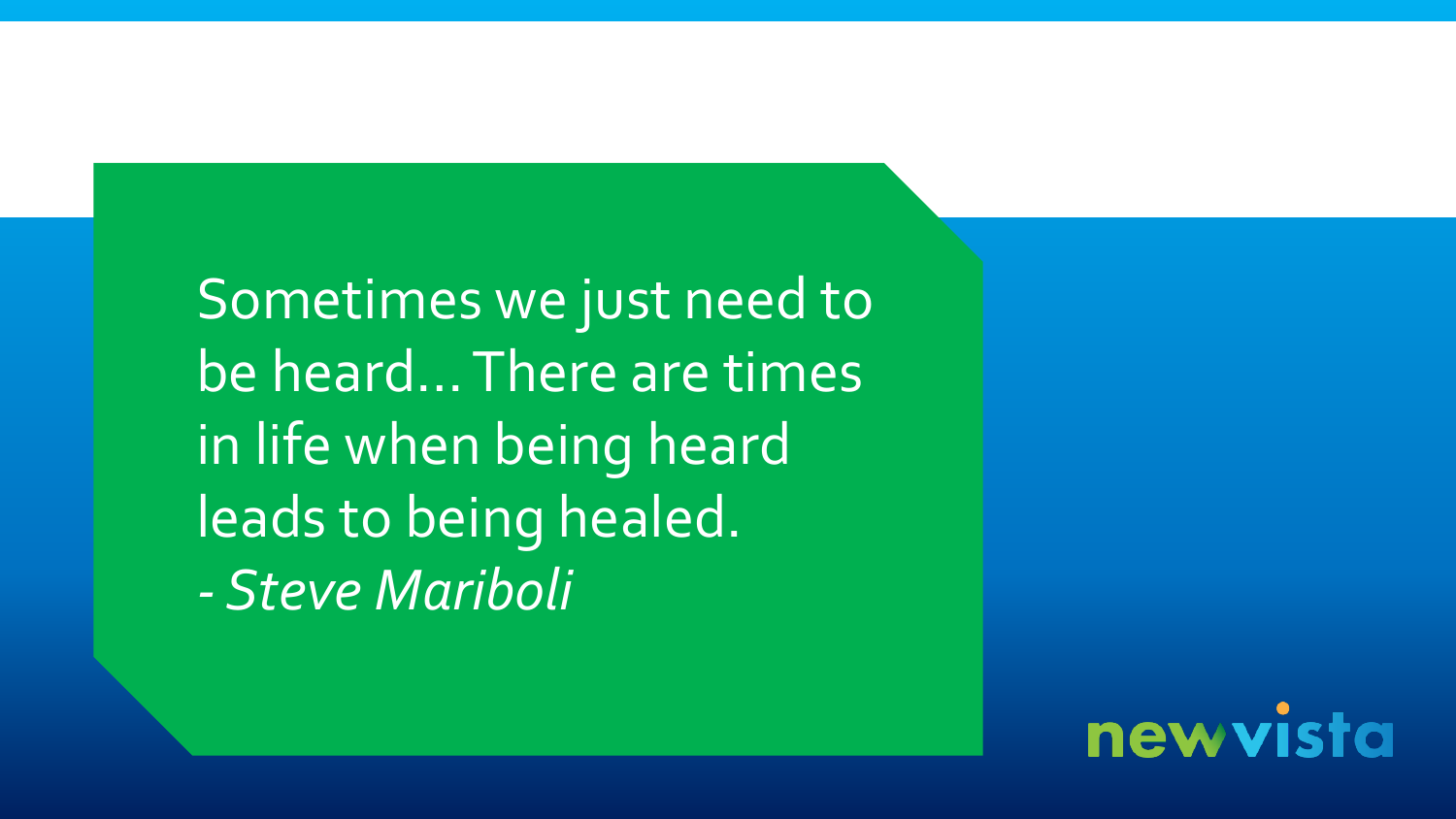Sometimes we just need to be heard… There are times in life when being heard leads to being healed. *- Steve Mariboli*

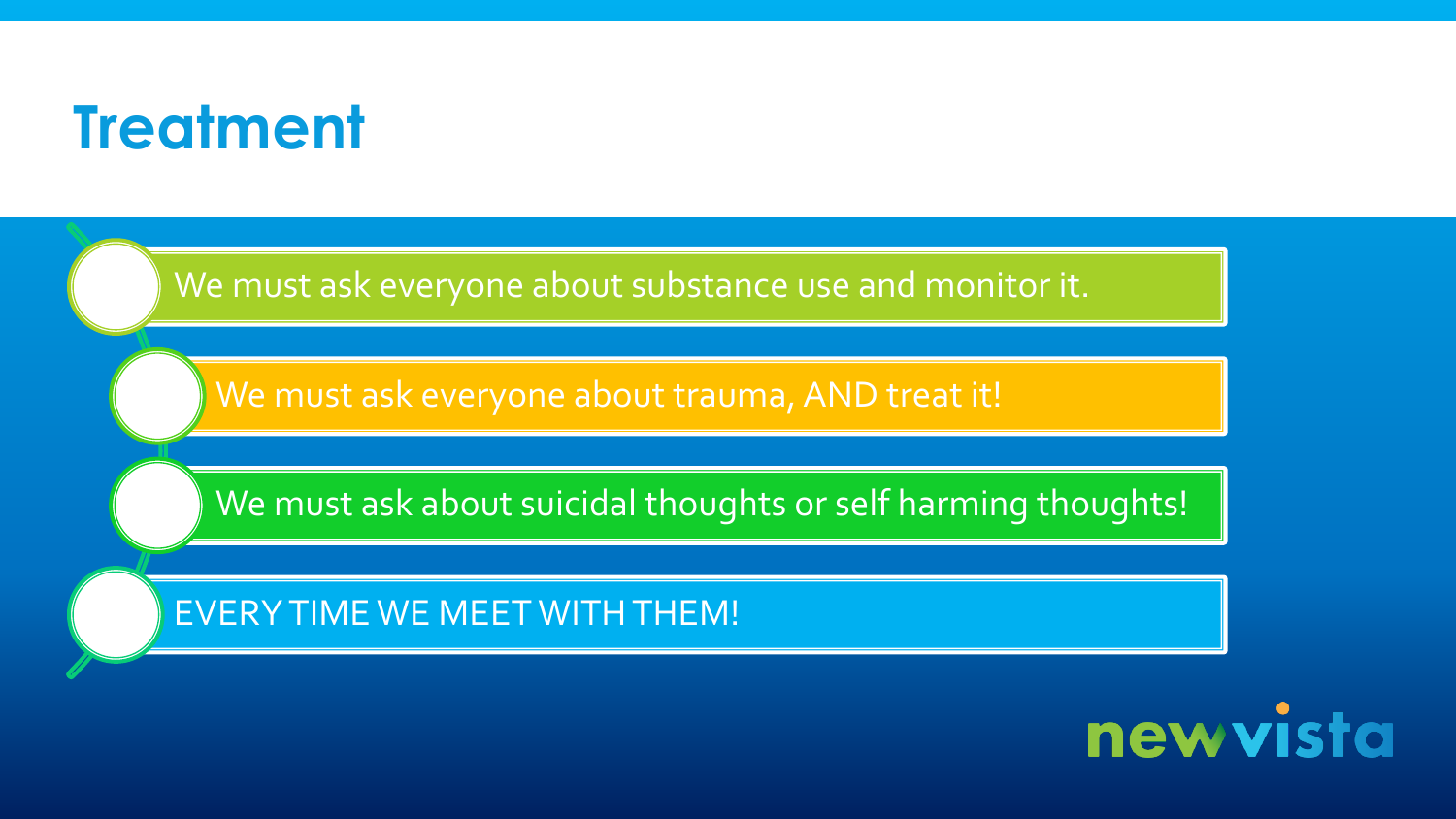# **Treatment**

We must ask everyone about substance use and monitor it.

We must ask everyone about trauma, AND treat it!

We must ask about suicidal thoughts or self harming thoughts!

EVERY TIME WE MEET WITH THEM!

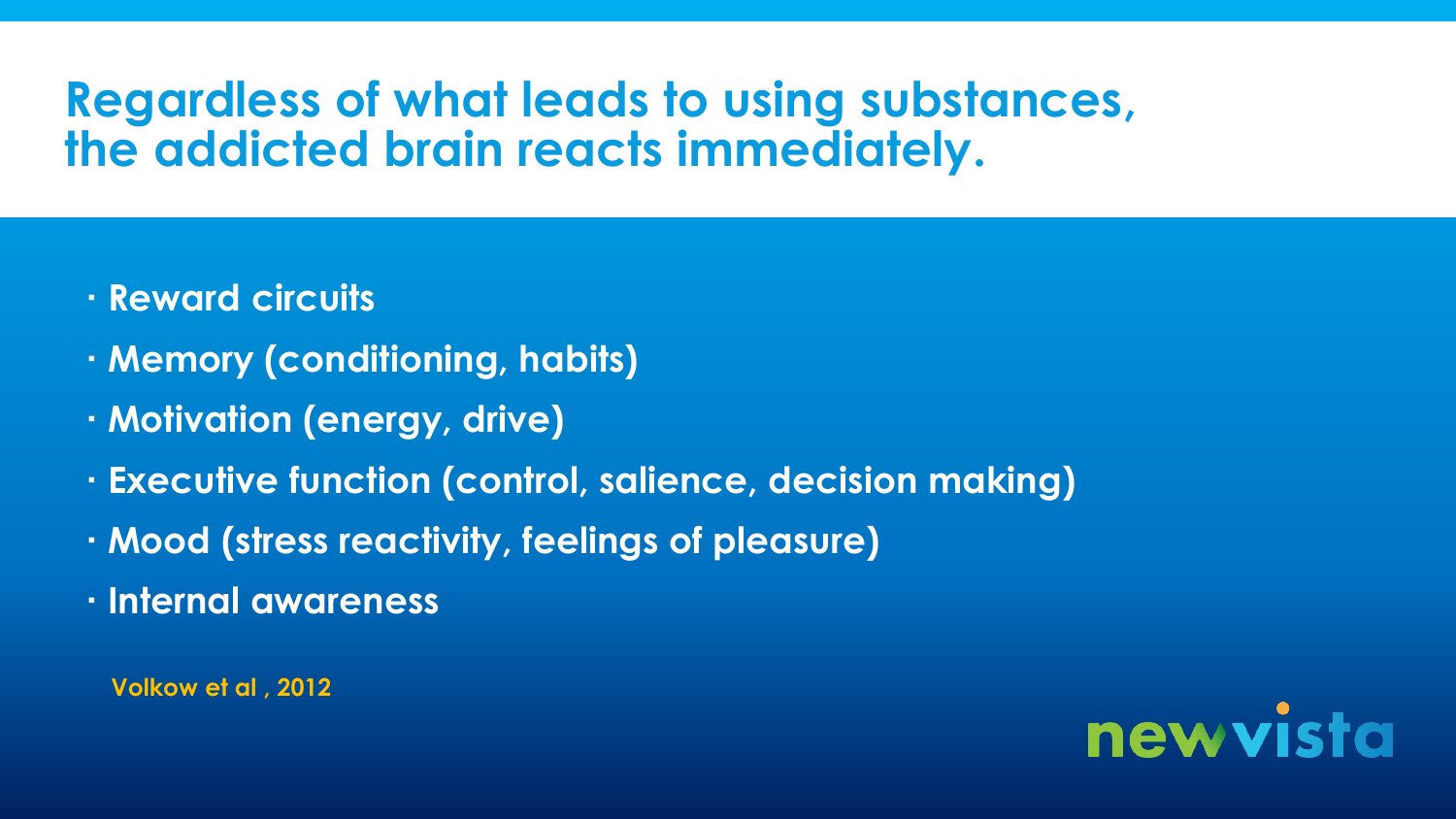#### **Regardless of what leads to using substances, the addicted brain reacts immediately.**

- **Reward circuits**
- **Memory (conditioning, habits)**
- **Motivation (energy, drive)**
- **Executive function (control, salience, decision making)**
- **Mood (stress reactivity, feelings of pleasure)**
- **Internal awareness**

**Volkow et al , 2012**

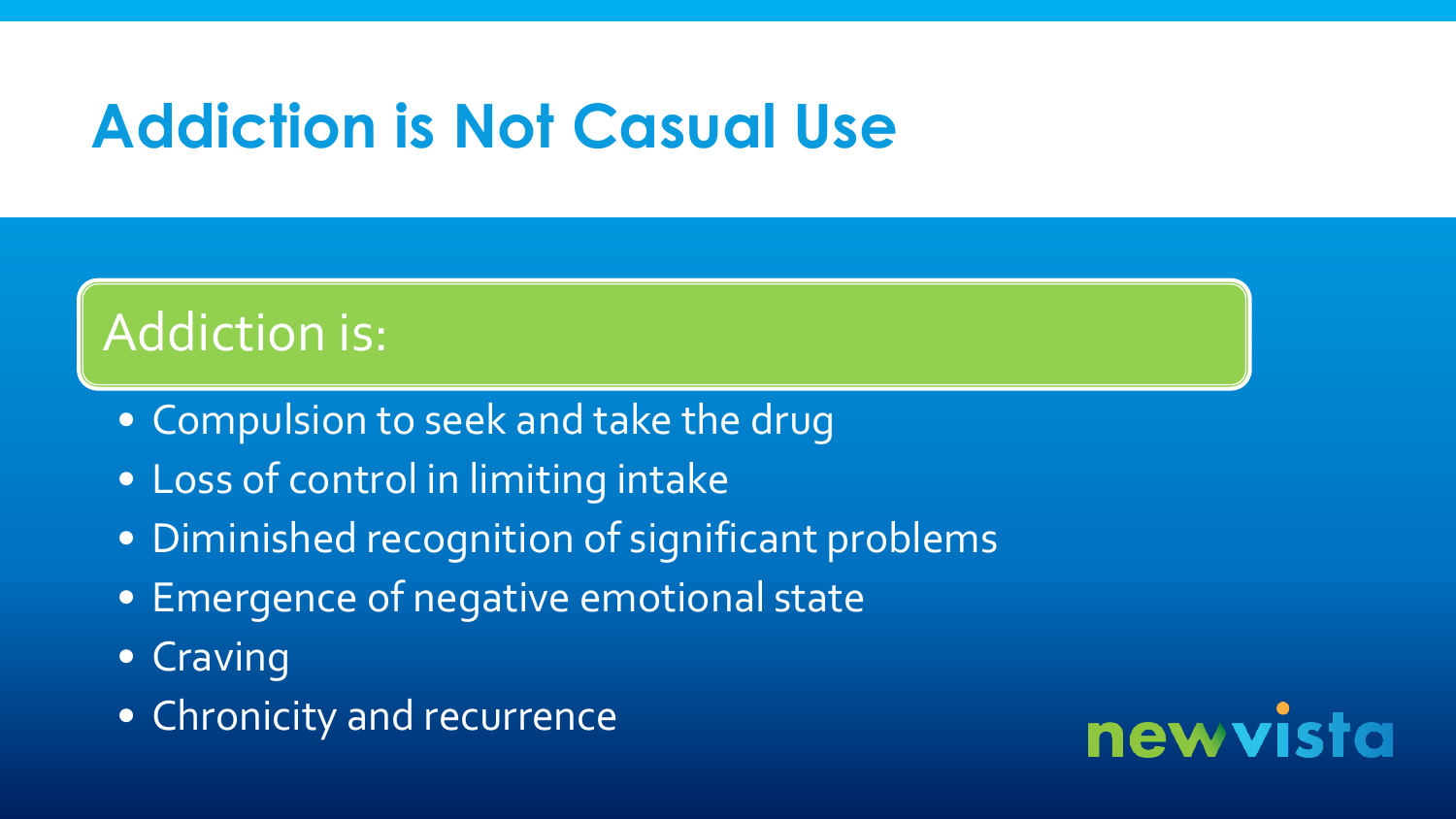# **Addiction is Not Casual Use**

### Addiction is:

- Compulsion to seek and take the drug
- Loss of control in limiting intake
- Diminished recognition of significant problems
- Emergence of negative emotional state
- Craving
- Chronicity and recurrence

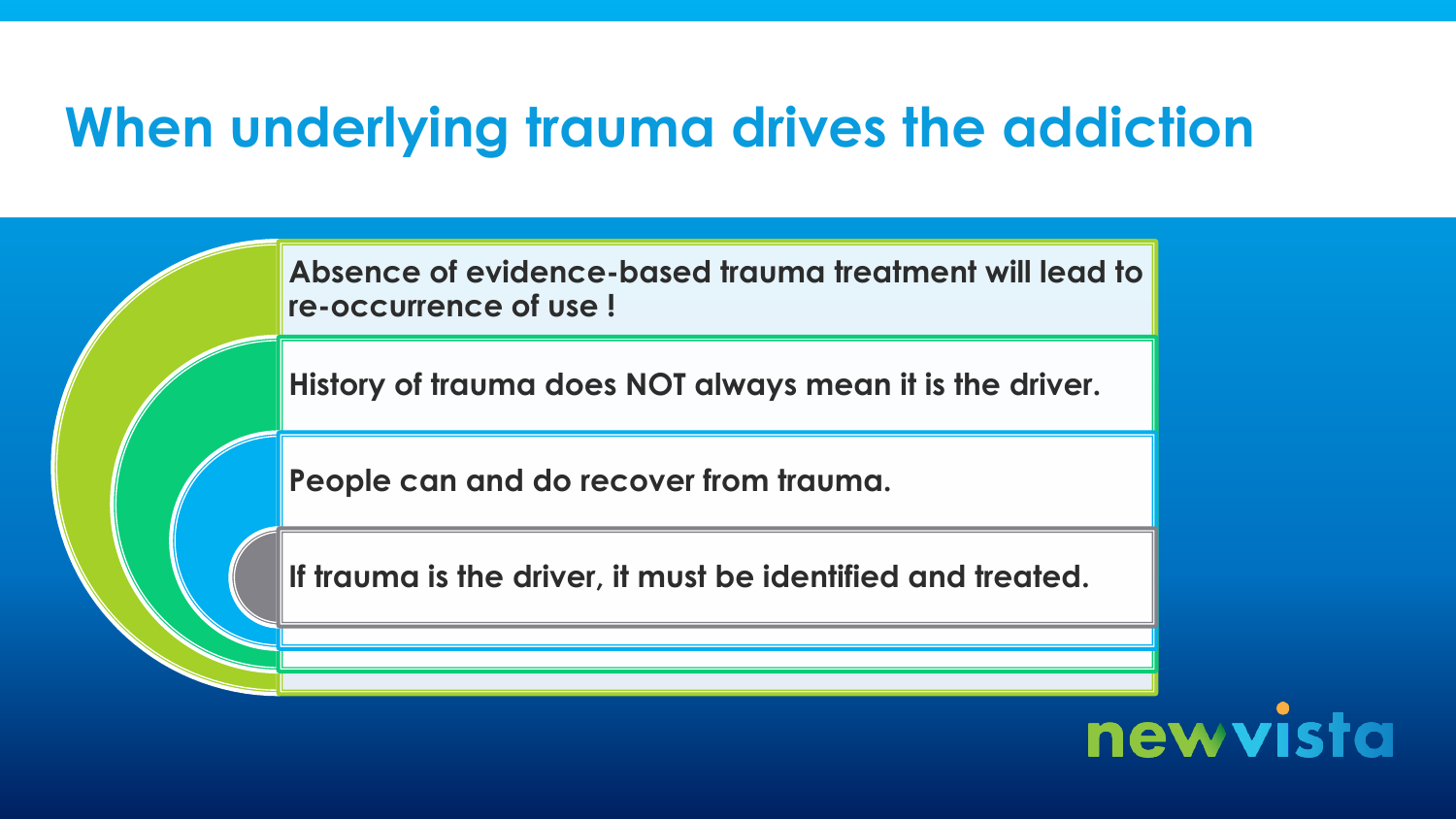### **When underlying trauma drives the addiction**

**Absence of evidence-based trauma treatment will lead to re-occurrence of use !**

**History of trauma does NOT always mean it is the driver.**

**People can and do recover from trauma.**

**If trauma is the driver, it must be identified and treated.**

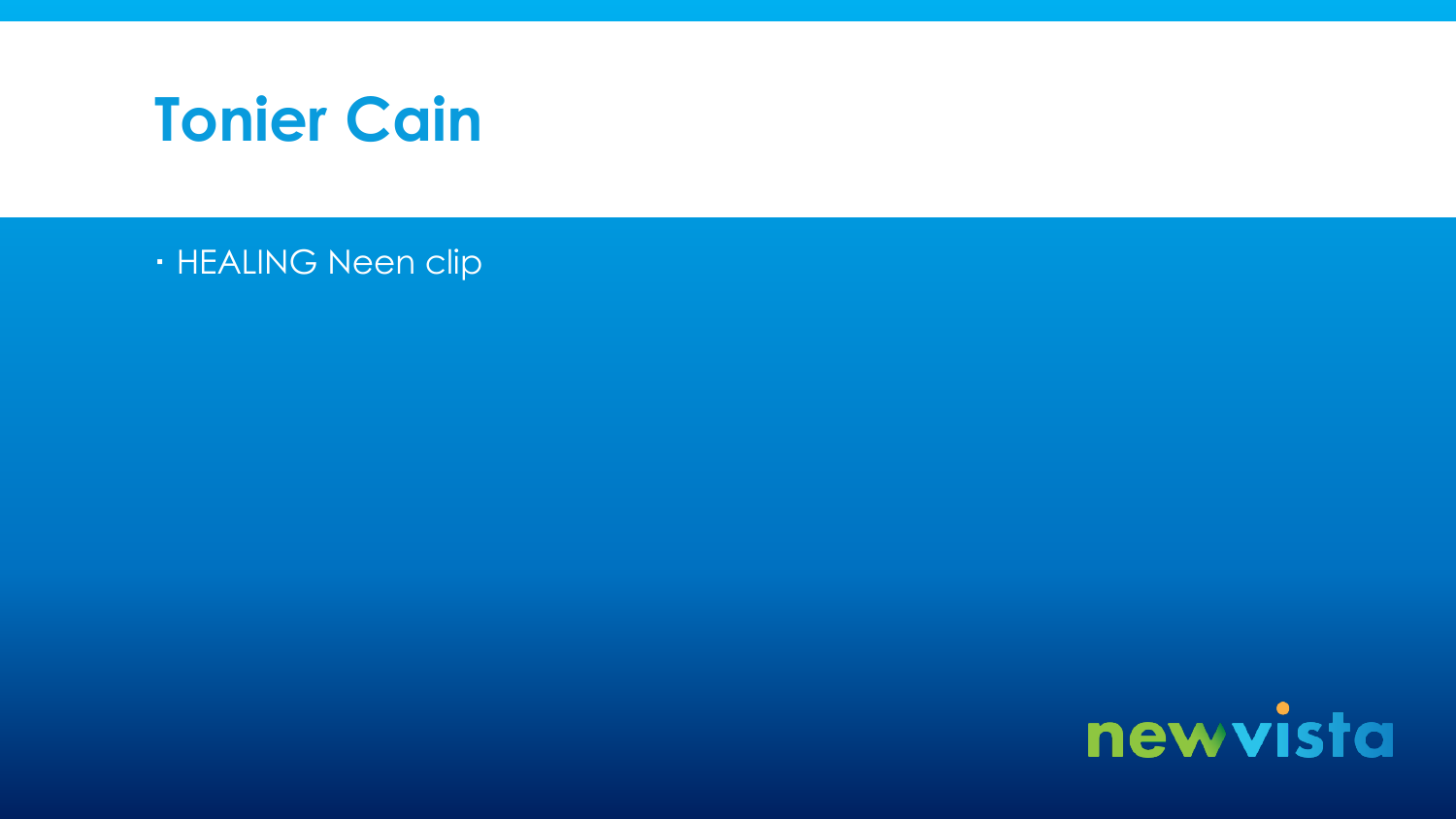

· HEALING Neen clip

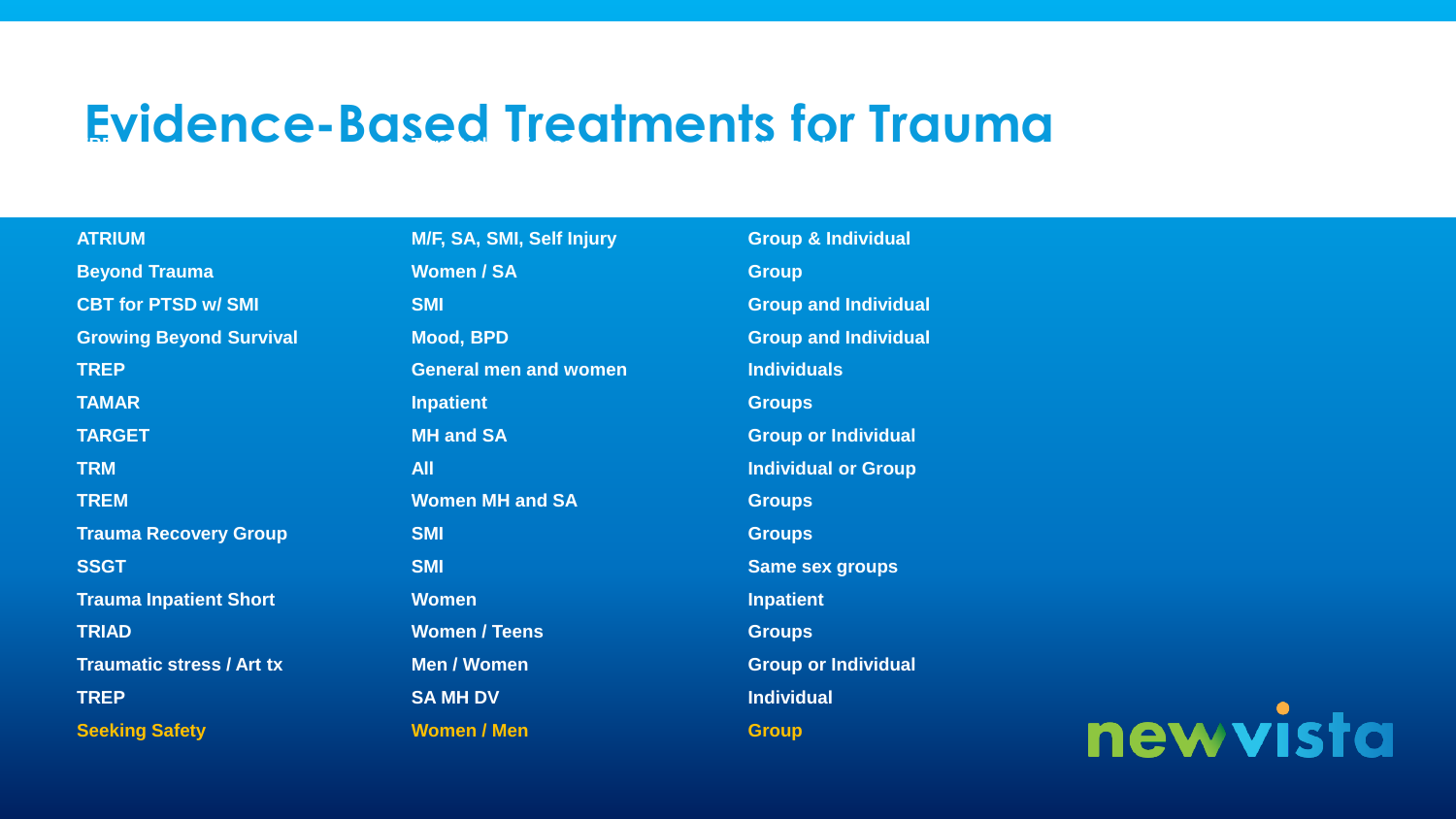### **Evidence-Based Treatments for Trauma**

| <b>ATRIUM</b>                    | M/F, SA, SMI, Self Injury    | <b>Group &amp; Individual</b> |     |
|----------------------------------|------------------------------|-------------------------------|-----|
| <b>Beyond Trauma</b>             | <b>Women / SA</b>            | <b>Group</b>                  |     |
| <b>CBT for PTSD w/ SMI</b>       | <b>SMI</b>                   | <b>Group and Individual</b>   |     |
| <b>Growing Beyond Survival</b>   | <b>Mood, BPD</b>             | <b>Group and Individual</b>   |     |
| <b>TREP</b>                      | <b>General men and women</b> | <b>Individuals</b>            |     |
| <b>TAMAR</b>                     | <b>Inpatient</b>             | <b>Groups</b>                 |     |
| <b>TARGET</b>                    | <b>MH and SA</b>             | <b>Group or Individual</b>    |     |
| <b>TRM</b>                       | <b>All</b>                   | <b>Individual or Group</b>    |     |
| <b>TREM</b>                      | <b>Women MH and SA</b>       | <b>Groups</b>                 |     |
| <b>Trauma Recovery Group</b>     | <b>SMI</b>                   | <b>Groups</b>                 |     |
| <b>SSGT</b>                      | <b>SMI</b>                   | <b>Same sex groups</b>        |     |
| <b>Trauma Inpatient Short</b>    | <b>Women</b>                 | <b>Inpatient</b>              |     |
| <b>TRIAD</b>                     | <b>Women / Teens</b>         | <b>Groups</b>                 |     |
| <b>Traumatic stress / Art tx</b> | <b>Men / Women</b>           | <b>Group or Individual</b>    |     |
| <b>TREP</b>                      | <b>SA MH DV</b>              | <b>Individual</b>             |     |
| <b>Seeking Safety</b>            | <b>Women / Men</b>           | <b>Group</b>                  | new |

vista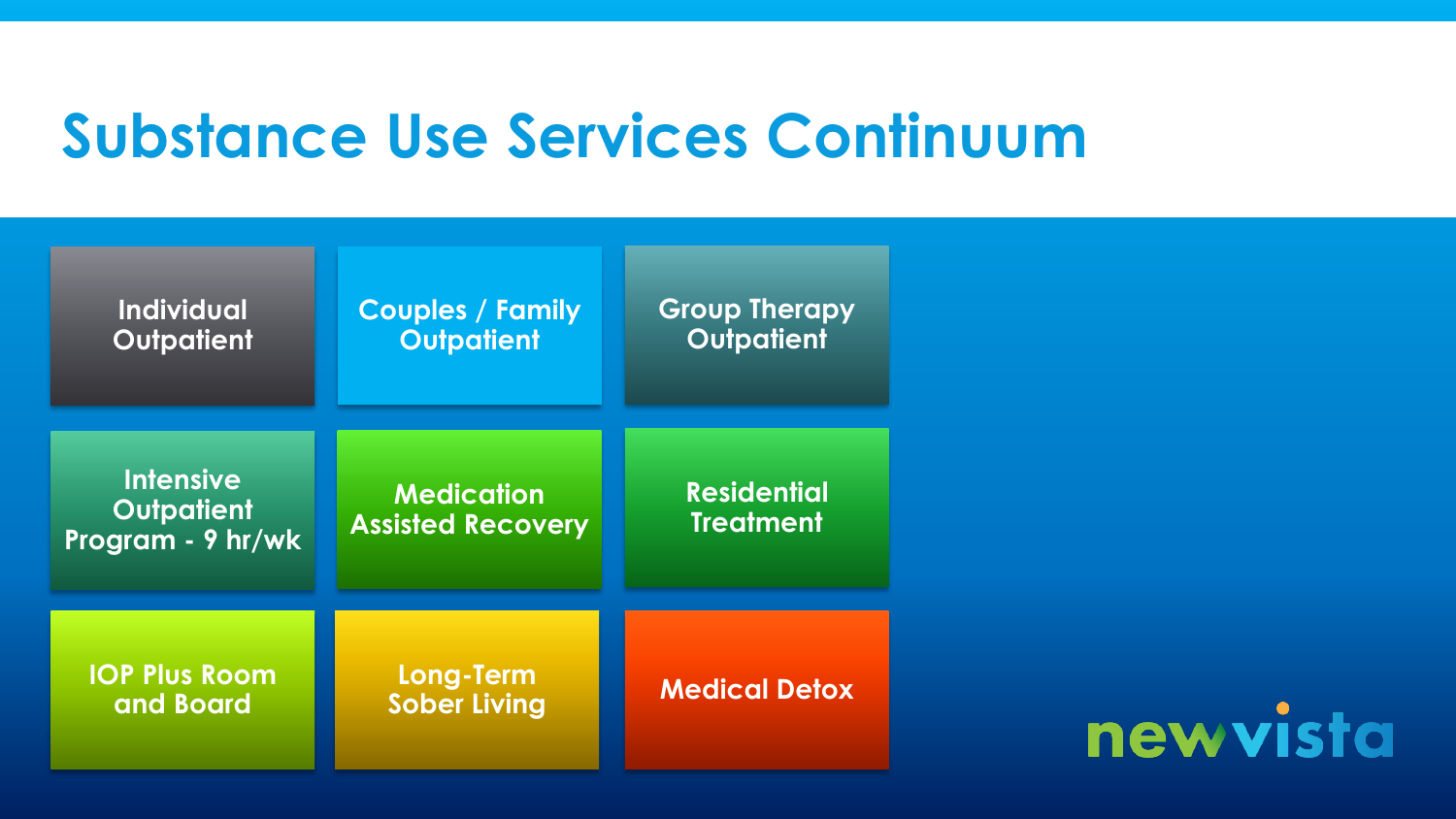# **Substance Use Services Continuum**

| <b>Individual</b><br><b>Outpatient</b>                     | <b>Couples / Family</b><br><b>Outpatient</b>  | <b>Group Therapy</b><br><b>Outpatient</b> |
|------------------------------------------------------------|-----------------------------------------------|-------------------------------------------|
| <b>Intensive</b><br><b>Outpatient</b><br>Program - 9 hr/wk | <b>Medication</b><br><b>Assisted Recovery</b> | <b>Residential</b><br><b>Treatment</b>    |
| <b>IOP Plus Room</b><br>and Board                          | Long-Term<br><b>Sober Living</b>              | <b>Medical Detox</b>                      |

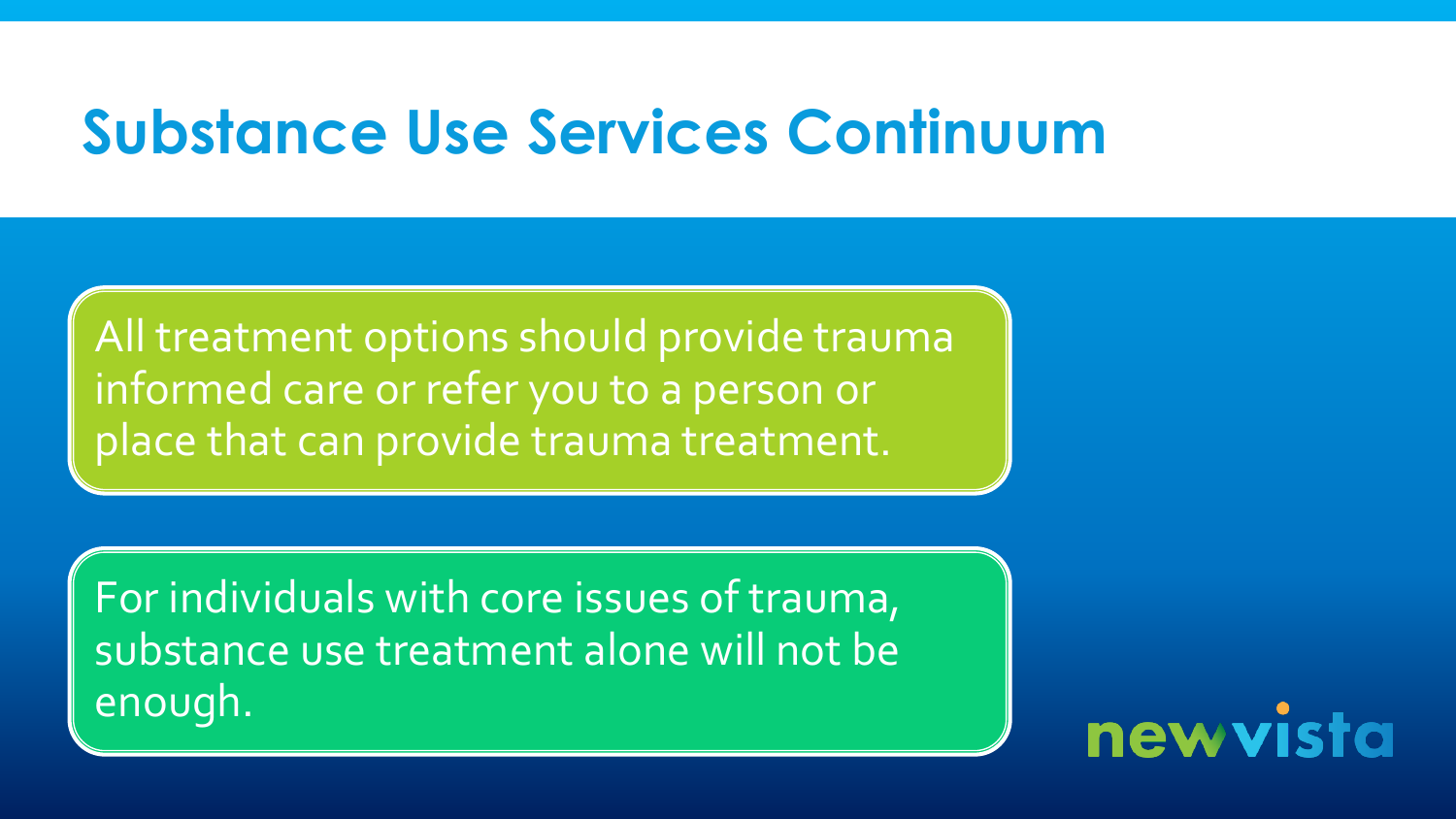# **Substance Use Services Continuum**

All treatment options should provide trauma informed care or refer you to a person or place that can provide trauma treatment.

For individuals with core issues of trauma, substance use treatment alone will not be enough.

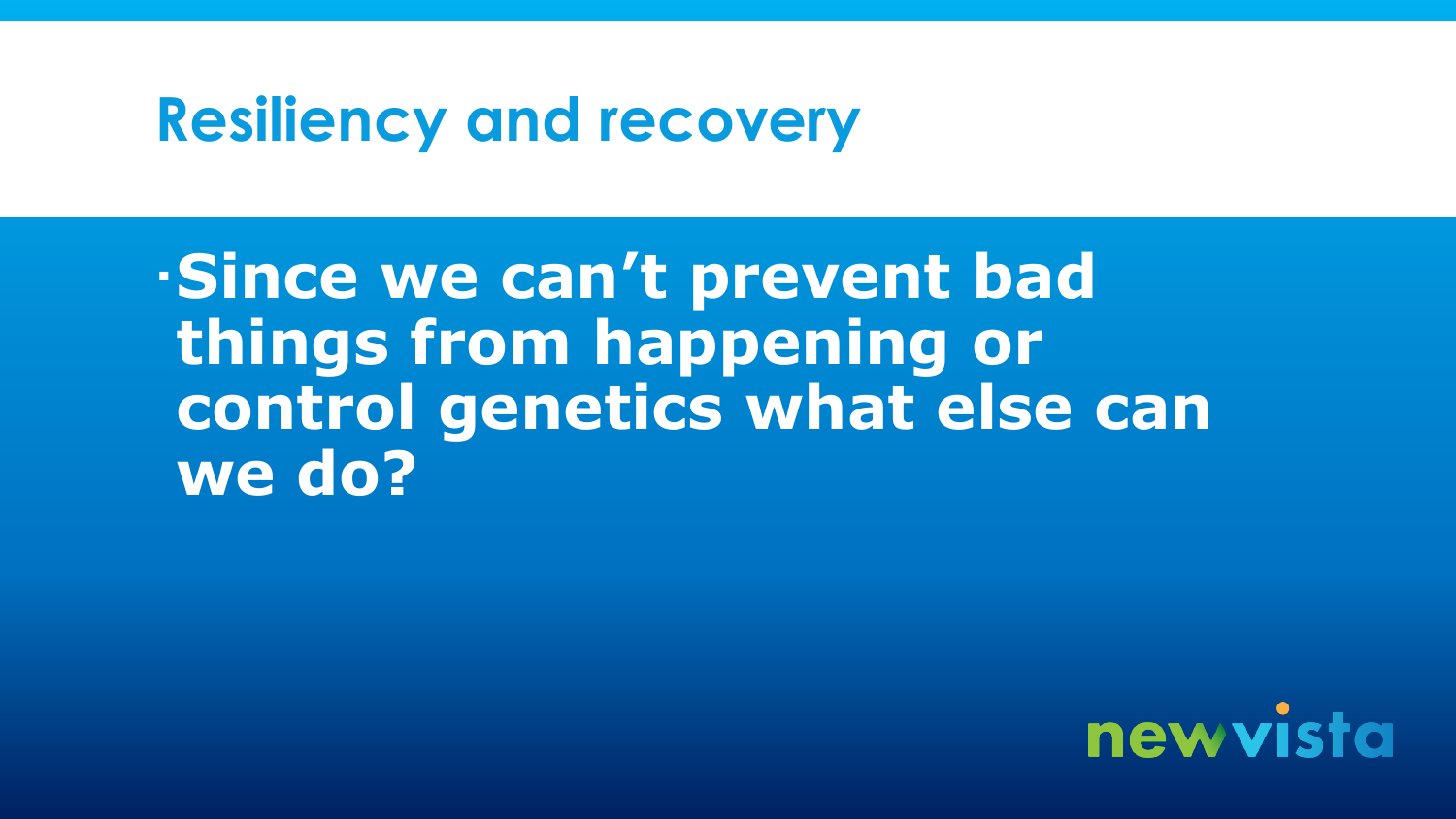### **Resiliency and recovery**

**Since we can't prevent bad things from happening or control genetics what else can we do?**

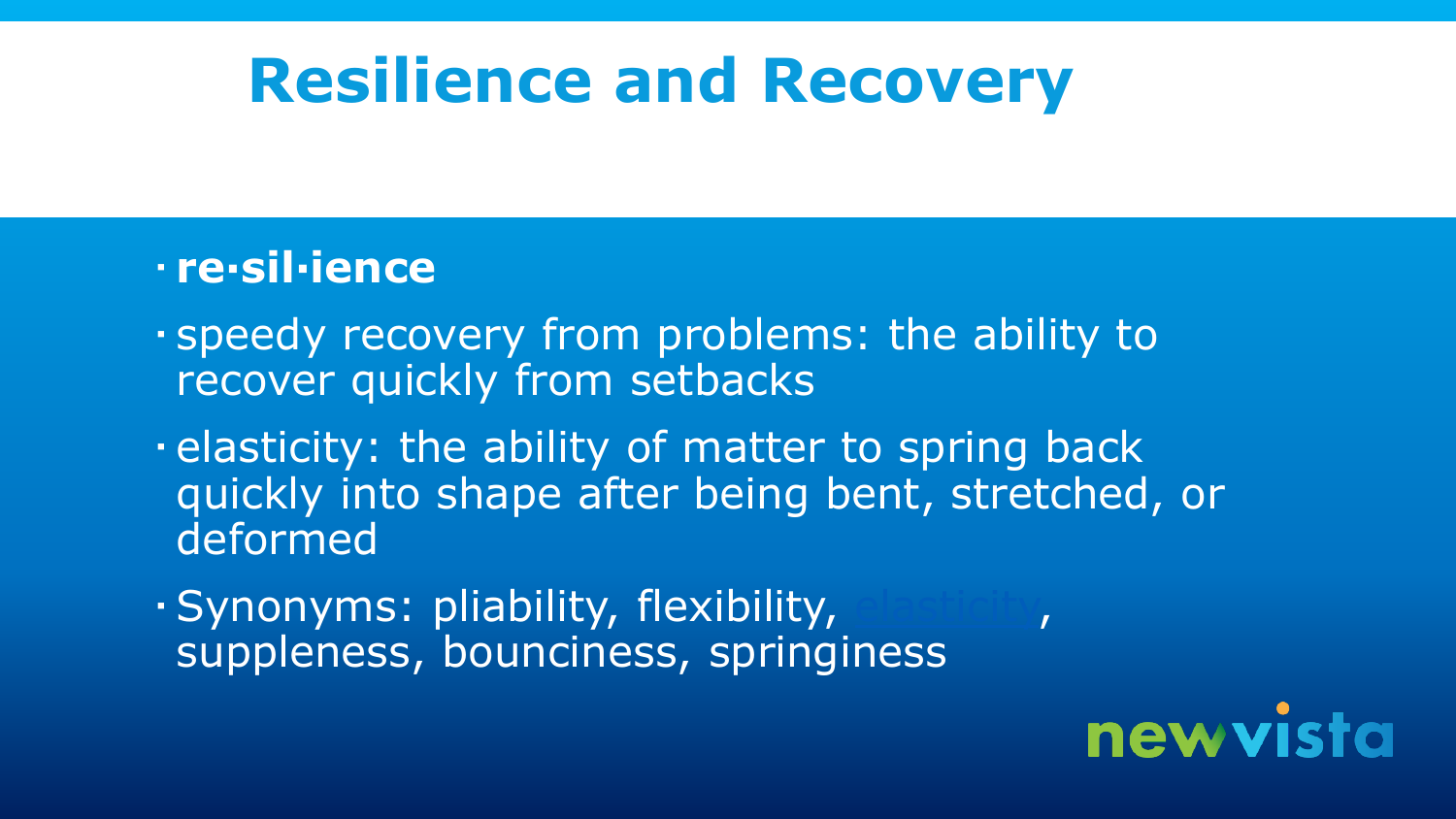# **Resilience and Recovery**

#### **re·sil·ience**

- speedy recovery from problems: the ability to recover quickly from setbacks
- elasticity: the ability of matter to spring back quickly into shape after being bent, stretched, or deformed
- Synonyms: pliability, flexibility, [elasticity,](http://www.bing.com/Dictionary/search?q=define+elasticity&FORM=DTPDIA) suppleness, bounciness, springiness

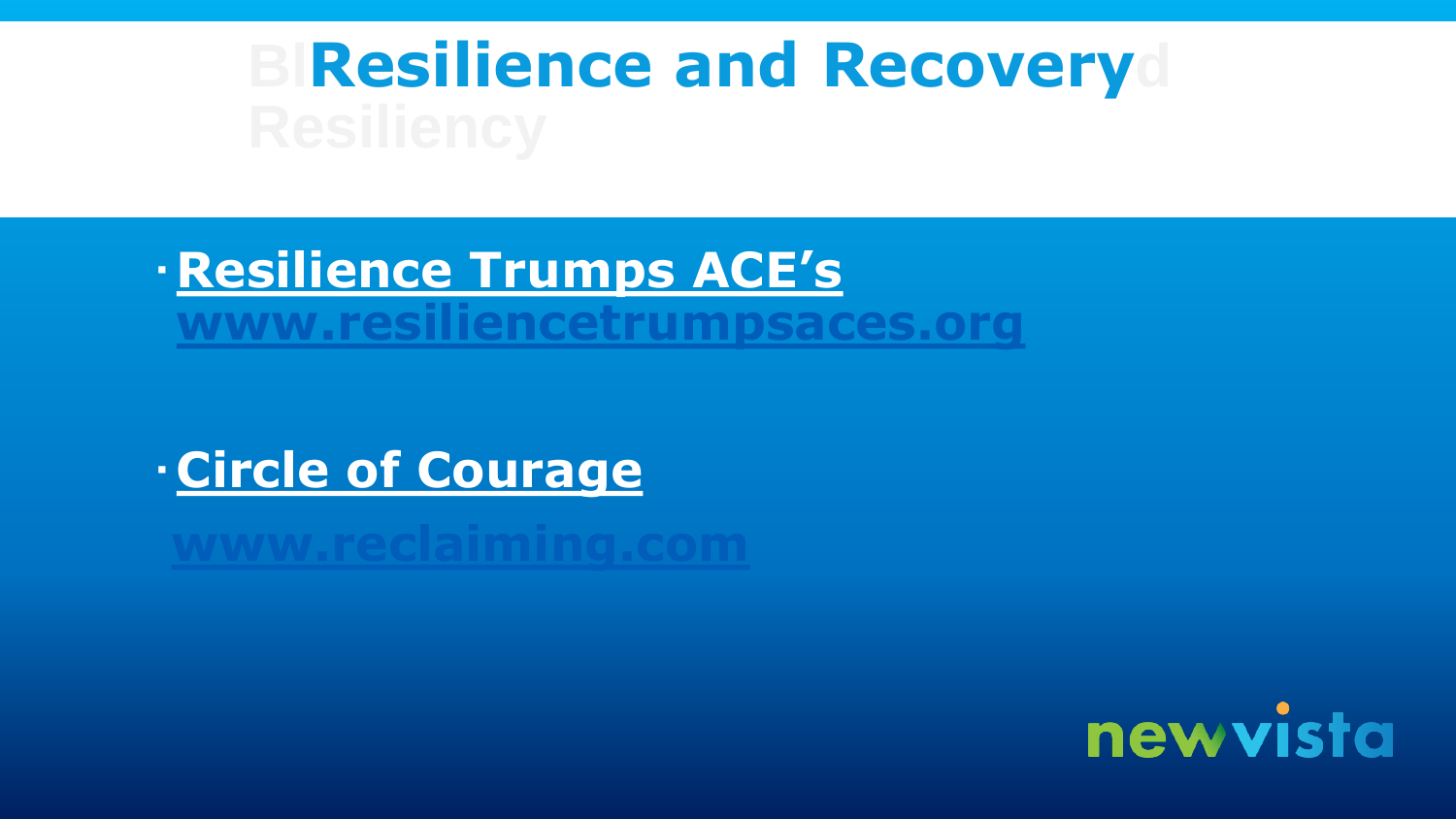# **BlResilience and Recoveryd**

**Resilience Trumps ACE's [www.resiliencetrumpsaces.org](http://www.resiliencetrumpsaces.org/)**

**Circle of Courage**

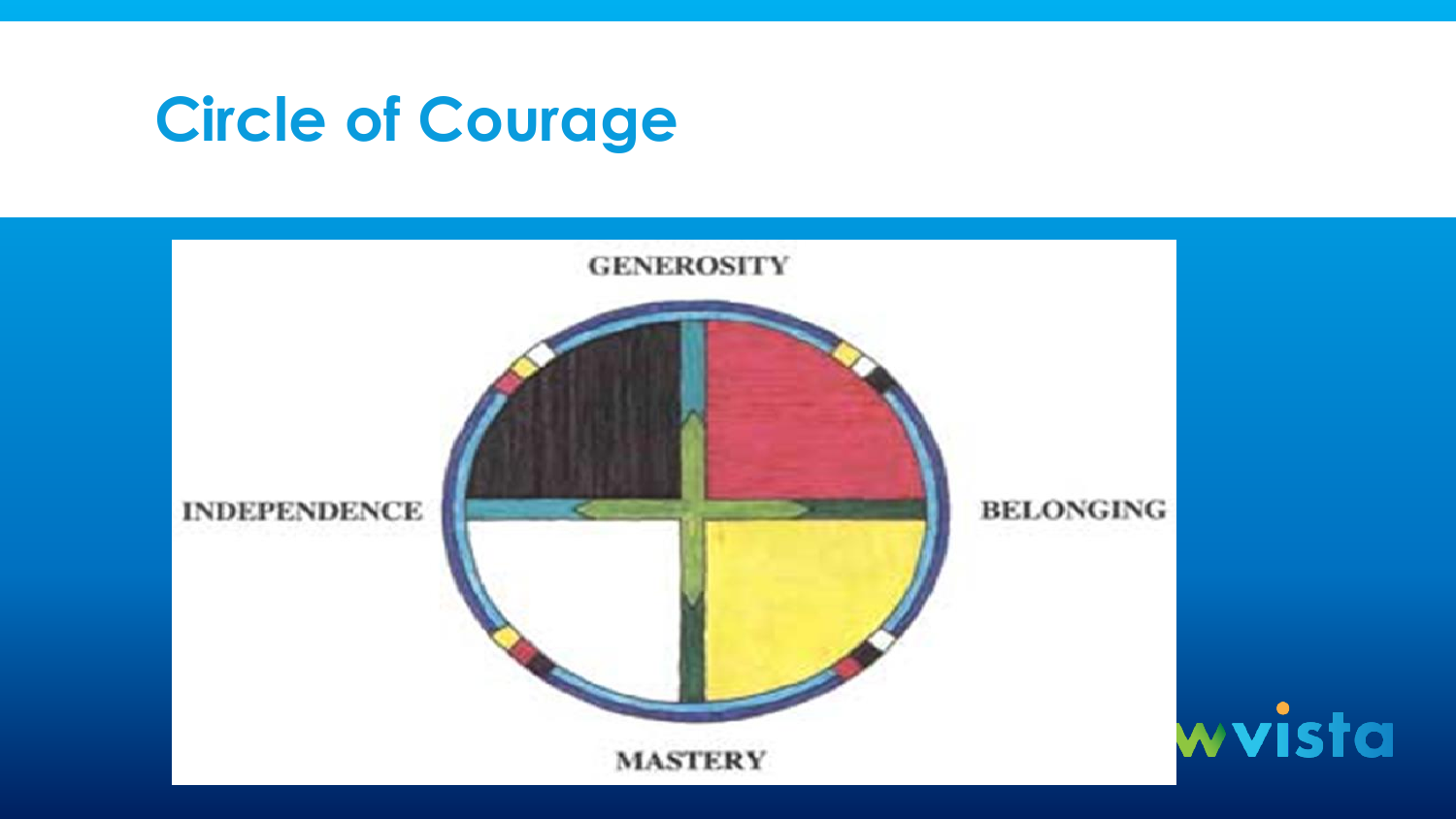# **Circle of Courage**